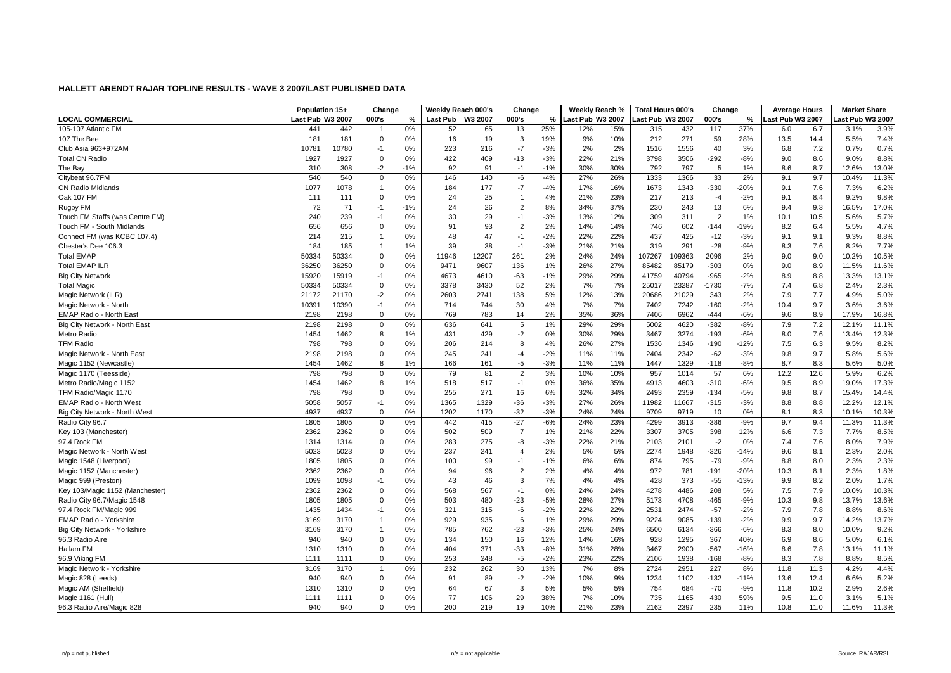|                                 | Population 15+   |       | Change         |       | Weekly Reach 000's |       | Change         |               | Weekly Reach %   |     | <b>Total Hours 000's</b> |        | Change         |        | <b>Average Hours</b> |      | <b>Market Share</b> |       |
|---------------------------------|------------------|-------|----------------|-------|--------------------|-------|----------------|---------------|------------------|-----|--------------------------|--------|----------------|--------|----------------------|------|---------------------|-------|
| <b>LOCAL COMMERCIAL</b>         | Last Pub W3 2007 |       | 000's          | %     | Last Pub W3 2007   |       | 000's          | $\frac{0}{2}$ | Last Pub W3 2007 |     | ast Pub W3 2007          |        | 000's          | %      | Last Pub W3 2007     |      | ast Pub W3 2007.    |       |
| 105-107 Atlantic FM             | 441              | 442   | -1             | 0%    | 52                 | 65    | 13             | 25%           | 12%              | 15% | 315                      | 432    | 117            | 37%    | 6.0                  | 6.7  | 3.1%                | 3.9%  |
| 107 The Bee                     | 181              | 181   | $\Omega$       | 0%    | 16                 | 19    | 3              | 19%           | 9%               | 10% | 212                      | 271    | 59             | 28%    | 13.5                 | 14.4 | 5.5%                | 7.4%  |
| Club Asia 963+972AM             | 10781            | 10780 | $-1$           | 0%    | 223                | 216   | $-7$           | $-3%$         | 2%               | 2%  | 1516                     | 1556   | 40             | 3%     | 6.8                  | 7.2  | 0.7%                | 0.7%  |
| <b>Total CN Radio</b>           | 1927             | 1927  | $\mathbf 0$    | 0%    | 422                | 409   | $-13$          | $-3%$         | 22%              | 21% | 3798                     | 3506   | $-292$         | $-8%$  | 9.0                  | 8.6  | 9.0%                | 8.8%  |
| The Bay                         | 310              | 308   | $-2$           | $-1%$ | 92                 | 91    | $-1$           | $-1%$         | 30%              | 30% | 792                      | 797    | 5              | 1%     | 8.6                  | 8.7  | 12.6%               | 13.0% |
| Citybeat 96.7FM                 | 540              | 540   | 0              | 0%    | 146                | 140   | -6             | $-4%$         | 27%              | 26% | 1333                     | 1366   | 33             | 2%     | 9.1                  | 9.7  | 10.4%               | 11.3% |
| <b>CN Radio Midlands</b>        | 1077             | 1078  | 1              | 0%    | 184                | 177   | $-7$           | $-4%$         | 17%              | 16% | 1673                     | 1343   | $-330$         | $-20%$ | 9.1                  | 7.6  | 7.3%                | 6.2%  |
| Oak 107 FM                      | 111              | 111   | $\Omega$       | 0%    | 24                 | 25    | $\overline{1}$ | 4%            | 21%              | 23% | 217                      | 213    | $-4$           | $-2%$  | 9.1                  | 8.4  | 9.2%                | 9.8%  |
| Rugby FM                        | 72               | 71    | $-1$           | $-1%$ | 24                 | 26    | $\overline{2}$ | 8%            | 34%              | 37% | 230                      | 243    | 13             | 6%     | 9.4                  | 9.3  | 16.5%               | 17.0% |
| Touch FM Staffs (was Centre FM) | 240              | 239   | $-1$           | 0%    | 30                 | 29    | $-1$           | $-3%$         | 13%              | 12% | 309                      | 311    | $\overline{2}$ | 1%     | 10.1                 | 10.5 | 5.6%                | 5.7%  |
| Touch FM - South Midlands       | 656              | 656   | $\mathbf 0$    | 0%    | 91                 | 93    | $\overline{2}$ | 2%            | 14%              | 14% | 746                      | 602    | $-144$         | $-19%$ | 8.2                  | 6.4  | 5.5%                | 4.7%  |
| Connect FM (was KCBC 107.4)     | 214              | 215   | $\overline{1}$ | 0%    | 48                 | 47    | $-1$           | $-2%$         | 22%              | 22% | 437                      | 425    | $-12$          | $-3%$  | 9.1                  | 9.1  | 9.3%                | 8.8%  |
| Chester's Dee 106.3             | 184              | 185   | 1              | 1%    | 39                 | 38    | $-1$           | $-3%$         | 21%              | 21% | 319                      | 291    | $-28$          | $-9%$  | 8.3                  | 7.6  | 8.2%                | 7.7%  |
| <b>Total EMAP</b>               | 50334            | 50334 | $\Omega$       | 0%    | 11946              | 12207 | 261            | 2%            | 24%              | 24% | 107267                   | 109363 | 2096           | 2%     | 9.0                  | 9.0  | 10.2%               | 10.5% |
| Total EMAP ILR                  | 36250            | 36250 | $\Omega$       | 0%    | 9471               | 9607  | 136            | 1%            | 26%              | 27% | 85482                    | 85179  | $-303$         | 0%     | 9.0                  | 8.9  | 11.5%               | 11.6% |
| <b>Big City Network</b>         | 15920            | 15919 | $-1$           | 0%    | 4673               | 4610  | $-63$          | $-1%$         | 29%              | 29% | 41759                    | 40794  | $-965$         | $-2%$  | 8.9                  | 8.8  | 13.3%               | 13.1% |
| <b>Total Magic</b>              | 50334            | 50334 | $\mathbf 0$    | 0%    | 3378               | 3430  | 52             | 2%            | 7%               | 7%  | 25017                    | 23287  | $-1730$        | $-7%$  | 7.4                  | 6.8  | 2.4%                | 2.3%  |
| Magic Network (ILR)             | 21172            | 21170 | $-2$           | 0%    | 2603               | 2741  | 138            | 5%            | 12%              | 13% | 20686                    | 21029  | 343            | 2%     | 7.9                  | 7.7  | 4.9%                | 5.0%  |
| Magic Network - North           | 10391            | 10390 | $-1$           | 0%    | 714                | 744   | 30             | 4%            | 7%               | 7%  | 7402                     | 7242   | $-160$         | $-2%$  | 10.4                 | 9.7  | 3.6%                | 3.6%  |
| EMAP Radio - North East         | 2198             | 2198  | $\Omega$       | 0%    | 769                | 783   | 14             | 2%            | 35%              | 36% | 7406                     | 6962   | $-444$         | $-6%$  | 9.6                  | 8.9  | 17.9%               | 16.8% |
| Big City Network - North East   | 2198             | 2198  | $\Omega$       | 0%    | 636                | 641   | 5              | 1%            | 29%              | 29% | 5002                     | 4620   | $-382$         | $-8%$  | 7.9                  | 7.2  | 12.1%               | 11.1% |
| Metro Radio                     | 1454             | 1462  | 8              | 1%    | 431                | 429   | $-2$           | 0%            | 30%              | 29% | 3467                     | 3274   | $-193$         | $-6%$  | 8.0                  | 7.6  | 13.4%               | 12.3% |
| <b>TFM Radio</b>                | 798              | 798   | $\Omega$       | 0%    | 206                | 214   | 8              | 4%            | 26%              | 27% | 1536                     | 1346   | $-190$         | $-12%$ | 7.5                  | 6.3  | 9.5%                | 8.2%  |
| Magic Network - North East      | 2198             | 2198  | $\mathbf 0$    | 0%    | 245                | 241   | $-4$           | $-2%$         | 11%              | 11% | 2404                     | 2342   | $-62$          | $-3%$  | 9.8                  | 9.7  | 5.8%                | 5.6%  |
| Magic 1152 (Newcastle)          | 1454             | 1462  | 8              | 1%    | 166                | 161   | $-5$           | $-3%$         | 11%              | 11% | 1447                     | 1329   | $-118$         | $-8%$  | 8.7                  | 8.3  | 5.6%                | 5.0%  |
| Magic 1170 (Teesside)           | 798              | 798   | $\Omega$       | 0%    | 79                 | 81    | $\overline{2}$ | 3%            | 10%              | 10% | 957                      | 1014   | 57             | 6%     | 12.2                 | 12.6 | 5.9%                | 6.2%  |
| Metro Radio/Magic 1152          | 1454             | 1462  | 8              | 1%    | 518                | 517   | $-1$           | 0%            | 36%              | 35% | 4913                     | 4603   | $-310$         | $-6%$  | 9.5                  | 8.9  | 19.0%               | 17.3% |
| TFM Radio/Magic 1170            | 798              | 798   | $\Omega$       | 0%    | 255                | 271   | 16             | 6%            | 32%              | 34% | 2493                     | 2359   | $-134$         | $-5%$  | 9.8                  | 8.7  | 15.4%               | 14.4% |
| EMAP Radio - North Wes          | 5058             | 5057  | $-1$           | 0%    | 1365               | 1329  | $-36$          | $-3%$         | 27%              | 26% | 11982                    | 11667  | $-315$         | $-3%$  | 8.8                  | 8.8  | 12.2%               | 12.1% |
| Big City Network - North West   | 4937             | 4937  | $\Omega$       | 0%    | 1202               | 1170  | $-32$          | $-3%$         | 24%              | 24% | 9709                     | 9719   | 10             | 0%     | 8.1                  | 8.3  | 10.1%               | 10.3% |
| Radio City 96.7                 | 1805             | 1805  | $\mathbf 0$    | 0%    | 442                | 415   | $-27$          | $-6%$         | 24%              | 23% | 4299                     | 3913   | $-386$         | $-9%$  | 9.7                  | 9.4  | 11.3%               | 11.3% |
| Key 103 (Manchester)            | 2362             | 2362  | $\Omega$       | 0%    | 502                | 509   | $\overline{7}$ | 1%            | 21%              | 22% | 3307                     | 3705   | 398            | 12%    | 6.6                  | 7.3  | 7.7%                | 8.5%  |
| 97.4 Rock FM                    | 1314             | 1314  | 0              | 0%    | 283                | 275   | -8             | $-3%$         | 22%              | 21% | 2103                     | 2101   | $-2$           | 0%     | 7.4                  | 7.6  | 8.0%                | 7.9%  |
| Magic Network - North West      | 5023             | 5023  | $\mathbf 0$    | 0%    | 237                | 241   | $\overline{4}$ | 2%            | 5%               | 5%  | 2274                     | 1948   | $-326$         | $-14%$ | 9.6                  | 8.1  | 2.3%                | 2.0%  |
| Magic 1548 (Liverpool)          | 1805             | 1805  | $\Omega$       | 0%    | 100                | 99    | $-1$           | $-1%$         | 6%               | 6%  | 874                      | 795    | $-79$          | $-9%$  | 8.8                  | 8.0  | 2.3%                | 2.3%  |
| Magic 1152 (Manchester)         | 2362             | 2362  | $\Omega$       | 0%    | 94                 | 96    | $\overline{2}$ | 2%            | 4%               | 4%  | 972                      | 781    | $-191$         | $-20%$ | 10.3                 | 8.1  | 2.3%                | 1.8%  |
| Magic 999 (Preston)             | 1099             | 1098  | $-1$           | 0%    | 43                 | 46    | 3              | 7%            | 4%               | 4%  | 428                      | 373    | $-55$          | $-13%$ | 9.9                  | 8.2  | 2.0%                | 1.7%  |
| Key 103/Magic 1152 (Manchester) | 2362             | 2362  | $\Omega$       | 0%    | 568                | 567   | $-1$           | 0%            | 24%              | 24% | 4278                     | 4486   | 208            | 5%     | 7.5                  | 7.9  | 10.0%               | 10.3% |
| Radio City 96.7/Magic 1548      | 1805             | 1805  | $\mathbf 0$    | 0%    | 503                | 480   | $-23$          | $-5%$         | 28%              | 27% | 5173                     | 4708   | $-465$         | $-9%$  | 10.3                 | 9.8  | 13.7%               | 13.6% |
| 97.4 Rock FM/Magic 999          | 1435             | 1434  | $-1$           | 0%    | 321                | 315   | -6             | $-2%$         | 22%              | 22% | 2531                     | 2474   | $-57$          | $-2%$  | 7.9                  | 7.8  | 8.8%                | 8.6%  |
| <b>EMAP Radio - Yorkshire</b>   | 3169             | 3170  | $\overline{1}$ | 0%    | 929                | 935   | 6              | 1%            | 29%              | 29% | 9224                     | 9085   | $-139$         | $-2%$  | 9.9                  | 9.7  | 14.2%               | 13.7% |
| Big City Network - Yorkshire    | 3169             | 3170  | 1              | 0%    | 785                | 762   | $-23$          | $-3%$         | 25%              | 24% | 6500                     | 6134   | $-366$         | $-6%$  | 8.3                  | 8.0  | 10.0%               | 9.2%  |
| 96.3 Radio Aire                 | 940              | 940   | $\Omega$       | 0%    | 134                | 150   | 16             | 12%           | 14%              | 16% | 928                      | 1295   | 367            | 40%    | 6.9                  | 8.6  | 5.0%                | 6.1%  |
| Hallam FM                       | 1310             | 1310  | $\Omega$       | 0%    | 404                | 371   | $-33$          | $-8%$         | 31%              | 28% | 3467                     | 2900   | $-567$         | $-16%$ | 8.6                  | 7.8  | 13.1%               | 11.1% |
| 96.9 Viking FM                  | 1111             | 1111  | $\mathbf 0$    | 0%    | 253                | 248   | $-5$           | $-2%$         | 23%              | 22% | 2106                     | 1938   | $-168$         | $-8%$  | 8.3                  | 7.8  | 8.8%                | 8.5%  |
| Magic Network - Yorkshire       | 3169             | 3170  | -1             | 0%    | 232                | 262   | 30             | 13%           | 7%               | 8%  | 2724                     | 2951   | 227            | 8%     | 11.8                 | 11.3 | 4.2%                | 4.4%  |
| Magic 828 (Leeds)               | 940              | 940   | $\Omega$       | 0%    | 91                 | 89    | $-2$           | $-2%$         | 10%              | 9%  | 1234                     | 1102   | $-132$         | $-11%$ | 13.6                 | 12.4 | 6.6%                | 5.2%  |
| Magic AM (Sheffield)            | 1310             | 1310  | $\Omega$       | 0%    | 64                 | 67    | 3              | 5%            | 5%               | 5%  | 754                      | 684    | $-70$          | $-9%$  | 11.8                 | 10.2 | 2.9%                | 2.6%  |
| Magic 1161 (Hull)               | 1111             | 1111  | $\Omega$       | 0%    | 77                 | 106   | 29             | 38%           | 7%               | 10% | 735                      | 1165   | 430            | 59%    | 9.5                  | 11.0 | 3.1%                | 5.1%  |
| 96.3 Radio Aire/Magic 828       | 940              | 940   | $\Omega$       | 0%    | 200                | 219   | 19             | 10%           | 21%              | 23% | 2162                     | 2397   | 235            | 11%    | 10.8                 | 11.0 | 11.6%               | 11.3% |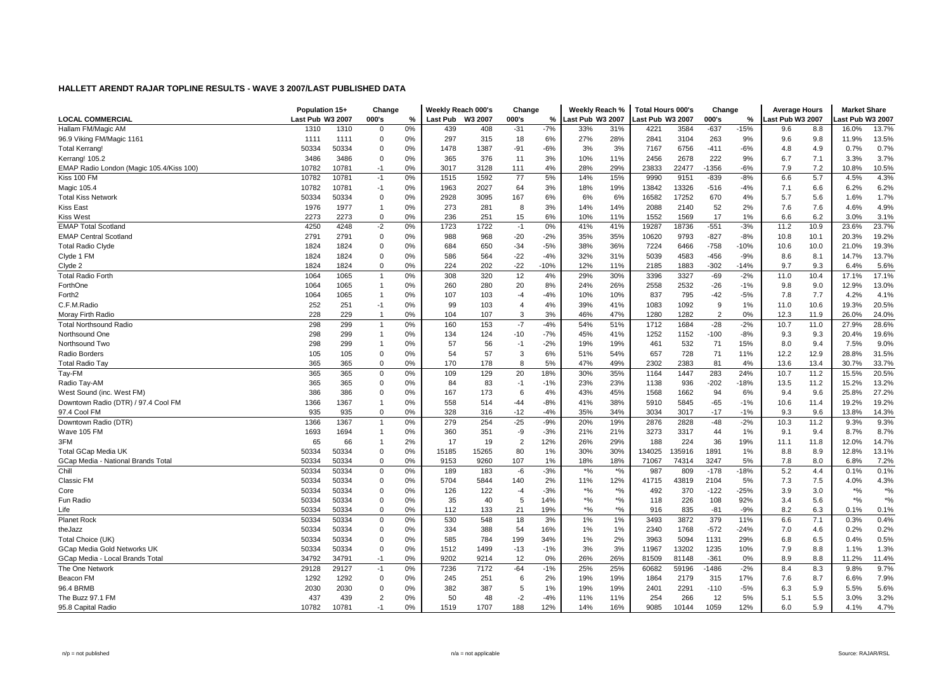|                                          | Population 15+   |       | Change         |    | Weekly Reach 000's |         | Change         |        | Weekly Reach %   |               | <b>Total Hours 000's</b> |        | Change         |        | <b>Average Hours</b> |      | <b>Market Share</b>                           |        |
|------------------------------------------|------------------|-------|----------------|----|--------------------|---------|----------------|--------|------------------|---------------|--------------------------|--------|----------------|--------|----------------------|------|-----------------------------------------------|--------|
| LOCAL COMMERCIAL                         | Last Pub W3 2007 |       | 000's          | %  | <b>Last Pub</b>    | W3 2007 | 000's          | %      | Last Pub W3 2007 |               | ast Pub W3 2007.         |        | 000's          | %      | Last Pub W3 2007     |      | ast Pub W3 2007                               |        |
| Hallam FM/Magic AM                       | 1310             | 1310  | $\Omega$       | 0% | 439                | 408     | $-31$          | $-7%$  | 33%              | 31%           | 4221                     | 3584   | $-637$         | $-15%$ | 9.6                  | 8.8  | 16.0%                                         | 13.7%  |
| 96.9 Viking FM/Magic 1161                | 1111             | 1111  | $\Omega$       | 0% | 297                | 315     | 18             | 6%     | 27%              | 28%           | 2841                     | 3104   | 263            | 9%     | 9.6                  | 9.8  | 11.9%                                         | 13.5%  |
| <b>Total Kerrang!</b>                    | 50334            | 50334 | $\mathbf 0$    | 0% | 1478               | 1387    | -91            | $-6%$  | 3%               | 3%            | 7167                     | 6756   | $-411$         | $-6%$  | 4.8                  | 4.9  | 0.7%                                          | 0.7%   |
| Kerrang! 105.2                           | 3486             | 3486  | $\mathbf 0$    | 0% | 365                | 376     | 11             | 3%     | 10%              | 11%           | 2456                     | 2678   | 222            | 9%     | 6.7                  | 7.1  | 3.3%                                          | 3.7%   |
| EMAP Radio London (Magic 105.4/Kiss 100) | 10782            | 10781 | $-1$           | 0% | 3017               | 3128    | 111            | 4%     | 28%              | 29%           | 23833                    | 22477  | $-1356$        | $-6%$  | 7.9                  | 7.2  | 10.8%                                         | 10.5%  |
| Kiss 100 FM                              | 10782            | 10781 | $-1$           | 0% | 1515               | 1592    | 77             | 5%     | 14%              | 15%           | 9990                     | 9151   | $-839$         | $-8%$  | 6.6                  | 5.7  | 4.5%                                          | 4.3%   |
| Magic 105.4                              | 10782            | 10781 | $-1$           | 0% | 1963               | 2027    | 64             | 3%     | 18%              | 19%           | 13842                    | 13326  | $-516$         | $-4%$  | 7.1                  | 6.6  | 6.2%                                          | 6.2%   |
| <b>Total Kiss Network</b>                | 50334            | 50334 | $\Omega$       | 0% | 2928               | 3095    | 167            | 6%     | 6%               | 6%            | 16582                    | 17252  | 670            | 4%     | 5.7                  | 5.6  | 1.6%                                          | 1.7%   |
| <b>Kiss East</b>                         | 1976             | 1977  | 1              | 0% | 273                | 281     | 8              | 3%     | 14%              | 14%           | 2088                     | 2140   | 52             | 2%     | 7.6                  | 7.6  | 4.6%                                          | 4.9%   |
| <b>Kiss West</b>                         | 2273             | 2273  | 0              | 0% | 236                | 251     | 15             | 6%     | 10%              | 11%           | 1552                     | 1569   | 17             | 1%     | 6.6                  | 6.2  | 3.0%                                          | 3.1%   |
| <b>EMAP Total Scotland</b>               | 4250             | 4248  | $-2$           | 0% | 1723               | 1722    | $-1$           | 0%     | 41%              | 41%           | 19287                    | 18736  | $-551$         | $-3%$  | 11.2                 | 10.9 | 23.6%                                         | 23.7%  |
| <b>EMAP Central Scotland</b>             | 2791             | 2791  | $\Omega$       | 0% | 988                | 968     | $-20$          | $-2%$  | 35%              | 35%           | 10620                    | 9793   | $-827$         | $-8%$  | 10.8                 | 10.1 | 20.3%                                         | 19.2%  |
| <b>Total Radio Clyde</b>                 | 1824             | 1824  | $\Omega$       | 0% | 684                | 650     | $-34$          | $-5%$  | 38%              | 36%           | 7224                     | 6466   | $-758$         | $-10%$ | 10.6                 | 10.0 | 21.0%                                         | 19.3%  |
| Clyde 1 FM                               | 1824             | 1824  | $\mathbf 0$    | 0% | 586                | 564     | $-22$          | $-4%$  | 32%              | 31%           | 5039                     | 4583   | $-456$         | $-9%$  | 8.6                  | 8.1  | 14.7%                                         | 13.7%  |
| Clyde 2                                  | 1824             | 1824  | $\mathbf 0$    | 0% | 224                | 202     | $-22$          | $-10%$ | 12%              | 11%           | 2185                     | 1883   | $-302$         | $-14%$ | 9.7                  | 9.3  | 6.4%                                          | 5.6%   |
| <b>Total Radio Forth</b>                 | 1064             | 1065  | $\mathbf 1$    | 0% | 308                | 320     | 12             | 4%     | 29%              | 30%           | 3396                     | 3327   | $-69$          | $-2%$  | 11.0                 | 10.4 | 17.1%                                         | 17.1%  |
| ForthOne                                 | 1064             | 1065  | $\mathbf 1$    | 0% | 260                | 280     | 20             | 8%     | 24%              | 26%           | 2558                     | 2532   | $-26$          | $-1%$  | 9.8                  | 9.0  | 12.9%                                         | 13.0%  |
| Forth <sub>2</sub>                       | 1064             | 1065  | 1              | 0% | 107                | 103     | $-4$           | $-4%$  | 10%              | 10%           | 837                      | 795    | $-42$          | $-5%$  | 7.8                  | 7.7  | 4.2%                                          | 4.1%   |
| C.F.M.Radio                              | 252              | 251   | $-1$           | 0% | 99                 | 103     | $\overline{4}$ | 4%     | 39%              | 41%           | 1083                     | 1092   | 9              | 1%     | 11.0                 | 10.6 | 19.3%                                         | 20.5%  |
| Moray Firth Radio                        | 228              | 229   |                | 0% | 104                | 107     | 3              | 3%     | 46%              | 47%           | 1280                     | 1282   | $\overline{2}$ | 0%     | 12.3                 | 11.9 | 26.0%                                         | 24.0%  |
| <b>Total Northsound Radio</b>            | 298              | 299   | $\overline{1}$ | 0% | 160                | 153     | $-7$           | $-4%$  | 54%              | 51%           | 1712                     | 1684   | $-28$          | $-2%$  | 10.7                 | 11.0 | 27.9%                                         | 28.6%  |
| Northsound One                           | 298              | 299   | $\mathbf 1$    | 0% | 134                | 124     | $-10$          | $-7%$  | 45%              | 41%           | 1252                     | 1152   | $-100$         | $-8%$  | 9.3                  | 9.3  | 20.4%                                         | 19.6%  |
| Northsound Two                           | 298              | 299   |                | 0% | 57                 | 56      | $-1$           | $-2%$  | 19%              | 19%           | 461                      | 532    | 71             | 15%    | 8.0                  | 9.4  | 7.5%                                          | 9.0%   |
| Radio Borders                            | 105              | 105   | $\mathbf 0$    | 0% | 54                 | 57      | 3              | 6%     | 51%              | 54%           | 657                      | 728    | 71             | 11%    | 12.2                 | 12.9 | 28.8%                                         | 31.5%  |
| <b>Total Radio Tay</b>                   | 365              | 365   | $\Omega$       | 0% | 170                | 178     | 8              | 5%     | 47%              | 49%           | 2302                     | 2383   | 81             | 4%     | 13.6                 | 13.4 | 30.7%                                         | 33.7%  |
| Tay-FM                                   | 365              | 365   | 0              | 0% | 109                | 129     | 20             | 18%    | 30%              | 35%           | 1164                     | 1447   | 283            | 24%    | 10.7                 | 11.2 | 15.5%                                         | 20.5%  |
| Radio Tay-AM                             | 365              | 365   | 0              | 0% | 84                 | 83      | $-1$           | $-1%$  | 23%              | 23%           | 1138                     | 936    | $-202$         | $-18%$ | 13.5                 | 11.2 | 15.2%                                         | 13.2%  |
| West Sound (inc. West FM)                | 386              | 386   | $\Omega$       | 0% | 167                | 173     | 6              | 4%     | 43%              | 45%           | 1568                     | 1662   | 94             | 6%     | 9.4                  | 9.6  | 25.8%                                         | 27.2%  |
| Downtown Radio (DTR) / 97.4 Cool FM      | 1366             | 1367  | 1              | 0% | 558                | 514     | $-44$          | $-8%$  | 41%              | 38%           | 5910                     | 5845   | $-65$          | $-1%$  | 10.6                 | 11.4 | 19.2%                                         | 19.2%  |
| 97.4 Cool FM                             | 935              | 935   | $\mathbf 0$    | 0% | 328                | 316     | $-12$          | $-4%$  | 35%              | 34%           | 3034                     | 3017   | $-17$          | $-1%$  | 9.3                  | 9.6  | 13.8%                                         | 14.3%  |
| Downtown Radio (DTR)                     | 1366             | 1367  | $\overline{1}$ | 0% | 279                | 254     | $-25$          | $-9%$  | 20%              | 19%           | 2876                     | 2828   | $-48$          | $-2%$  | 10.3                 | 11.2 | 9.3%                                          | 9.3%   |
| Wave 105 FM                              | 1693             | 1694  | $\mathbf 1$    | 0% | 360                | 351     | -9             | $-3%$  | 21%              | 21%           | 3273                     | 3317   | 44             | 1%     | 9.1                  | 9.4  | 8.7%                                          | 8.7%   |
| 3FM                                      | 65               | 66    | $\overline{1}$ | 2% | 17                 | 19      | $\overline{2}$ | 12%    | 26%              | 29%           | 188                      | 224    | 36             | 19%    | 11.1                 | 11.8 | 12.0%                                         | 14.7%  |
| <b>Total GCap Media UK</b>               | 50334            | 50334 | $\Omega$       | 0% | 15185              | 15265   | 80             | 1%     | 30%              | 30%           | 134025                   | 135916 | 1891           | 1%     | 8.8                  | 8.9  | 12.8%                                         | 13.1%  |
| GCap Media - National Brands Total       | 50334            | 50334 | $\Omega$       | 0% | 9153               | 9260    | 107            | 1%     | 18%              | 18%           | 71067                    | 74314  | 3247           | 5%     | 7.8                  | 8.0  | 6.8%                                          | 7.2%   |
| Chill                                    | 50334            | 50334 | $\mathbf 0$    | 0% | 189                | 183     | -6             | $-3%$  | $*$ %            | $*$ %         | 987                      | 809    | $-178$         | $-18%$ | 5.2                  | 4.4  | 0.1%                                          | 0.1%   |
| Classic FM                               | 50334            | 50334 | 0              | 0% | 5704               | 5844    | 140            | 2%     | 11%              | 12%           | 41715                    | 43819  | 2104           | 5%     | 7.3                  | 7.5  | 4.0%                                          | 4.3%   |
| Core                                     | 50334            | 50334 | 0              | 0% | 126                | 122     | $-4$           | $-3%$  | $*9/6$           | $*9/6$        | 492                      | 370    | $-122$         | $-25%$ | 3.9                  | 3.0  | $\boldsymbol{^{*0}}\!\mathstrut_{\mathbf{0}}$ | $*9/6$ |
| Fun Radio                                | 50334            | 50334 | $\mathbf 0$    | 0% | 35                 | 40      | 5              | 14%    | $*9/6$           | $*9/0$        | 118                      | 226    | 108            | 92%    | 3.4                  | 5.6  | $*9/6$                                        | $*$ %  |
| Life                                     | 50334            | 50334 | $\mathbf 0$    | 0% | 112                | 133     | 21             | 19%    | $^{*0/6}$        | $\frac{1}{2}$ | 916                      | 835    | $-81$          | $-9%$  | 8.2                  | 6.3  | 0.1%                                          | 0.1%   |
| <b>Planet Rock</b>                       | 50334            | 50334 | 0              | 0% | 530                | 548     | 18             | 3%     | 1%               | 1%            | 3493                     | 3872   | 379            | 11%    | 6.6                  | 7.1  | 0.3%                                          | 0.4%   |
| theJazz                                  | 50334            | 50334 | 0              | 0% | 334                | 388     | 54             | 16%    | 1%               | 1%            | 2340                     | 1768   | $-572$         | $-24%$ | 7.0                  | 4.6  | 0.2%                                          | 0.2%   |
| Total Choice (UK)                        | 50334            | 50334 | $\mathbf 0$    | 0% | 585                | 784     | 199            | 34%    | 1%               | 2%            | 3963                     | 5094   | 1131           | 29%    | 6.8                  | 6.5  | 0.4%                                          | 0.5%   |
| GCap Media Gold Networks UK              | 50334            | 50334 | $\Omega$       | 0% | 1512               | 1499    | $-13$          | $-1%$  | 3%               | 3%            | 11967                    | 13202  | 1235           | 10%    | 7.9                  | 8.8  | 1.1%                                          | 1.3%   |
| GCap Media - Local Brands Total          | 34792            | 34791 | $-1$           | 0% | 9202               | 9214    | 12             | 0%     | 26%              | 26%           | 81509                    | 81148  | $-361$         | 0%     | 8.9                  | 8.8  | 11.2%                                         | 11.4%  |
| The One Network                          | 29128            | 29127 | $-1$           | 0% | 7236               | 7172    | $-64$          | $-1%$  | 25%              | 25%           | 60682                    | 59196  | -1486          | $-2%$  | 8.4                  | 8.3  | 9.8%                                          | 9.7%   |
| Beacon FM                                | 1292             | 1292  | 0              | 0% | 245                | 251     | 6              | 2%     | 19%              | 19%           | 1864                     | 2179   | 315            | 17%    | 7.6                  | 8.7  | 6.6%                                          | 7.9%   |
| 96.4 BRMB                                | 2030             | 2030  | $\Omega$       | 0% | 382                | 387     | 5              | 1%     | 19%              | 19%           | 2401                     | 2291   | $-110$         | $-5%$  | 6.3                  | 5.9  | 5.5%                                          | 5.6%   |
| The Buzz 97.1 FM                         | 437              | 439   | $\overline{2}$ | 0% | 50                 | 48      | $-2$           | $-4%$  | 11%              | 11%           | 254                      | 266    | 12             | 5%     | 5.1                  | 5.5  | 3.0%                                          | 3.2%   |
| 95.8 Capital Radio                       | 10782            | 10781 | $-1$           | 0% | 1519               | 1707    | 188            | 12%    | 14%              | 16%           | 9085                     | 10144  | 1059           | 12%    | 6.0                  | 5.9  | 4.1%                                          | 4.7%   |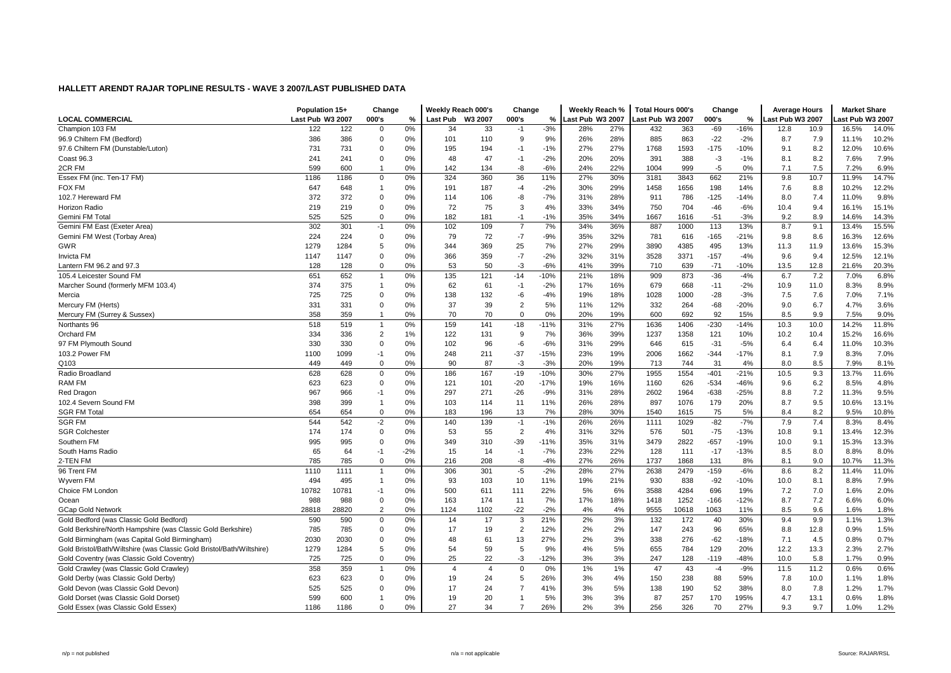|                                                                       | Population 15+   |       | Change         |       | Weekly Reach 000's |                | Change         |        | Weekly Reach %   |     | <b>Total Hours 000's</b> |       | Change |        | <b>Average Hours</b> |      | <b>Market Share</b> |       |
|-----------------------------------------------------------------------|------------------|-------|----------------|-------|--------------------|----------------|----------------|--------|------------------|-----|--------------------------|-------|--------|--------|----------------------|------|---------------------|-------|
| <b>LOCAL COMMERCIAL</b>                                               | Last Pub W3 2007 |       | 000's          | %     | Last Pub W3 2007   |                | 000's          | %      | Last Pub W3 2007 |     | ast Pub W3 2007          |       | 000's  | %      | ast Pub W3 2007      |      | ast Pub W3 2007     |       |
| Champion 103 FM                                                       | 122              | 122   | $\Omega$       | 0%    | 34                 | 33             | $-1$           | $-3%$  | 28%              | 27% | 432                      | 363   | $-69$  | $-16%$ | 12.8                 | 10.9 | 16.5%               | 14.0% |
| 96.9 Chiltern FM (Bedford)                                            | 386              | 386   | $\Omega$       | 0%    | 101                | 110            | 9              | 9%     | 26%              | 28% | 885                      | 863   | $-22$  | $-2%$  | 8.7                  | 7.9  | 11.1%               | 10.2% |
| 97.6 Chiltern FM (Dunstable/Luton)                                    | 731              | 731   | $\Omega$       | 0%    | 195                | 194            | $-1$           | $-1%$  | 27%              | 27% | 1768                     | 1593  | $-175$ | $-10%$ | 9.1                  | 8.2  | 12.0%               | 10.6% |
| Coast 96.3                                                            | 241              | 241   | $\mathbf 0$    | 0%    | 48                 | 47             | $-1$           | $-2%$  | 20%              | 20% | 391                      | 388   | $-3$   | $-1%$  | 8.1                  | 8.2  | 7.6%                | 7.9%  |
| 2CR FM                                                                | 599              | 600   | $\mathbf{1}$   | 0%    | 142                | 134            | -8             | $-6%$  | 24%              | 22% | 1004                     | 999   | $-5$   | 0%     | 7.1                  | 7.5  | 7.2%                | 6.9%  |
| Essex FM (inc. Ten-17 FM)                                             | 1186             | 1186  | $\mathbf 0$    | 0%    | 324                | 360            | 36             | 11%    | 27%              | 30% | 3181                     | 3843  | 662    | 21%    | 9.8                  | 10.7 | 11.9%               | 14.7% |
| <b>FOX FM</b>                                                         | 647              | 648   | -1             | 0%    | 191                | 187            | $-4$           | $-2%$  | 30%              | 29% | 1458                     | 1656  | 198    | 14%    | 7.6                  | 8.8  | 10.2%               | 12.2% |
| 102.7 Hereward FM                                                     | 372              | 372   | $\Omega$       | 0%    | 114                | 106            | -8             | $-7%$  | 31%              | 28% | 911                      | 786   | $-125$ | $-14%$ | 8.0                  | 7.4  | 11.0%               | 9.8%  |
| Horizon Radio                                                         | 219              | 219   | $\mathbf 0$    | 0%    | 72                 | 75             | 3              | 4%     | 33%              | 34% | 750                      | 704   | $-46$  | $-6%$  | 10.4                 | 9.4  | 16.1%               | 15.1% |
| Gemini FM Total                                                       | 525              | 525   | $\mathbf 0$    | 0%    | 182                | 181            | $-1$           | $-1%$  | 35%              | 34% | 1667                     | 1616  | $-51$  | $-3%$  | 9.2                  | 8.9  | 14.6%               | 14.3% |
| Gemini FM East (Exeter Area)                                          | 302              | 301   | $-1$           | 0%    | 102                | 109            | $\overline{7}$ | 7%     | 34%              | 36% | 887                      | 1000  | 113    | 13%    | 8.7                  | 9.1  | 13.4%               | 15.5% |
| Gemini FM West (Torbay Area)                                          | 224              | 224   | $\mathbf 0$    | 0%    | 79                 | 72             | $-7$           | $-9%$  | 35%              | 32% | 781                      | 616   | $-165$ | $-21%$ | 9.8                  | 8.6  | 16.3%               | 12.6% |
| <b>GWR</b>                                                            | 1279             | 1284  | 5              | 0%    | 344                | 369            | 25             | 7%     | 27%              | 29% | 3890                     | 4385  | 495    | 13%    | 11.3                 | 11.9 | 13.6%               | 15.3% |
| <b>Invicta FM</b>                                                     | 1147             | 1147  | $\mathbf 0$    | 0%    | 366                | 359            | $-7$           | $-2%$  | 32%              | 31% | 3528                     | 3371  | $-157$ | $-4%$  | 9.6                  | 9.4  | 12.5%               | 12.1% |
| Lantern FM 96.2 and 97.3                                              | 128              | 128   | $\mathbf 0$    | 0%    | 53                 | 50             | $-3$           | $-6%$  | 41%              | 39% | 710                      | 639   | $-71$  | $-10%$ | 13.5                 | 12.8 | 21.6%               | 20.3% |
| 105.4 Leicester Sound FM                                              | 651              | 652   | $\overline{1}$ | 0%    | 135                | 121            | $-14$          | $-10%$ | 21%              | 18% | 909                      | 873   | $-36$  | $-4%$  | 6.7                  | 7.2  | 7.0%                | 6.8%  |
| Marcher Sound (formerly MFM 103.4)                                    | 374              | 375   | $\mathbf{1}$   | 0%    | 62                 | 61             | $-1$           | $-2%$  | 17%              | 16% | 679                      | 668   | $-11$  | $-2%$  | 10.9                 | 11.0 | 8.3%                | 8.9%  |
| Mercia                                                                | 725              | 725   | $\mathbf 0$    | 0%    | 138                | 132            | -6             | $-4%$  | 19%              | 18% | 1028                     | 1000  | $-28$  | $-3%$  | 7.5                  | 7.6  | 7.0%                | 7.1%  |
| Mercury FM (Herts)                                                    | 331              | 331   | $\mathbf 0$    | 0%    | 37                 | 39             | $\overline{2}$ | 5%     | 11%              | 12% | 332                      | 264   | $-68$  | $-20%$ | 9.0                  | 6.7  | 4.7%                | 3.6%  |
| Mercury FM (Surrey & Sussex)                                          | 358              | 359   |                | 0%    | 70                 | 70             | $\Omega$       | 0%     | 20%              | 19% | 600                      | 692   | 92     | 15%    | 8.5                  | 9.9  | 7.5%                | 9.0%  |
| Northants 96                                                          | 518              | 519   | $\overline{1}$ | 0%    | 159                | 141            | $-18$          | $-11%$ | 31%              | 27% | 1636                     | 1406  | $-230$ | $-14%$ | 10.3                 | 10.0 | 14.2%               | 11.8% |
| Orchard FM                                                            | 334              | 336   | $\overline{2}$ | 1%    | 122                | 131            | 9              | 7%     | 36%              | 39% | 1237                     | 1358  | 121    | 10%    | 10.2                 | 10.4 | 15.2%               | 16.6% |
| 97 FM Plymouth Sound                                                  | 330              | 330   | $\Omega$       | 0%    | 102                | 96             | -6             | $-6%$  | 31%              | 29% | 646                      | 615   | $-31$  | $-5%$  | 6.4                  | 6.4  | 11.0%               | 10.3% |
| 103.2 Power FM                                                        | 1100             | 1099  | $-1$           | 0%    | 248                | 211            | $-37$          | $-15%$ | 23%              | 19% | 2006                     | 1662  | $-344$ | $-17%$ | 8.1                  | 7.9  | 8.3%                | 7.0%  |
| Q103                                                                  | 449              | 449   | $\mathbf 0$    | 0%    | 90                 | 87             | $-3$           | $-3%$  | 20%              | 19% | 713                      | 744   | 31     | 4%     | 8.0                  | 8.5  | 7.9%                | 8.1%  |
| Radio Broadland                                                       | 628              | 628   | 0              | 0%    | 186                | 167            | $-19$          | $-10%$ | 30%              | 27% | 1955                     | 1554  | $-401$ | $-21%$ | 10.5                 | 9.3  | 13.7%               | 11.6% |
| <b>RAM FM</b>                                                         | 623              | 623   | $\mathbf 0$    | 0%    | 121                | 101            | $-20$          | $-17%$ | 19%              | 16% | 1160                     | 626   | $-534$ | -46%   | 9.6                  | 6.2  | 8.5%                | 4.8%  |
| Red Dragon                                                            | 967              | 966   | $-1$           | 0%    | 297                | 271            | $-26$          | $-9%$  | 31%              | 28% | 2602                     | 1964  | $-638$ | $-25%$ | 8.8                  | 7.2  | 11.3%               | 9.5%  |
| 102.4 Severn Sound FM                                                 | 398              | 399   | $\overline{1}$ | 0%    | 103                | 114            | 11             | 11%    | 26%              | 28% | 897                      | 1076  | 179    | 20%    | 8.7                  | 9.5  | 10.6%               | 13.1% |
| <b>SGR FM Total</b>                                                   | 654              | 654   | 0              | 0%    | 183                | 196            | 13             | 7%     | 28%              | 30% | 1540                     | 1615  | 75     | 5%     | 8.4                  | 8.2  | 9.5%                | 10.8% |
| <b>SGR FM</b>                                                         | 544              | 542   | $-2$           | 0%    | 140                | 139            | $-1$           | $-1%$  | 26%              | 26% | 1111                     | 1029  | $-82$  | $-7%$  | 7.9                  | 7.4  | 8.3%                | 8.4%  |
| <b>SGR Colchester</b>                                                 | 174              | 174   | $\Omega$       | 0%    | 53                 | 55             | $\overline{2}$ | 4%     | 31%              | 32% | 576                      | 501   | $-75$  | $-13%$ | 10.8                 | 9.1  | 13.4%               | 12.3% |
| Southern FM                                                           | 995              | 995   | $\Omega$       | 0%    | 349                | 310            | $-39$          | $-11%$ | 35%              | 31% | 3479                     | 2822  | $-657$ | $-19%$ | 10.0                 | 9.1  | 15.3%               | 13.3% |
| South Hams Radio                                                      | 65               | 64    | $-1$           | $-2%$ | 15                 | 14             | $-1$           | $-7%$  | 23%              | 22% | 128                      | 111   | $-17$  | $-13%$ | 8.5                  | 8.0  | 8.8%                | 8.0%  |
| 2-TEN FM                                                              | 785              | 785   | $\mathbf 0$    | 0%    | 216                | 208            | -8             | $-4%$  | 27%              | 26% | 1737                     | 1868  | 131    | 8%     | 8.1                  | 9.0  | 10.7%               | 11.3% |
| 96 Trent FM                                                           | 1110             | 1111  |                | 0%    | 306                | 301            | $-5$           | $-2%$  | 28%              | 27% | 2638                     | 2479  | $-159$ | $-6%$  | 8.6                  | 8.2  | 11.4%               | 11.0% |
| Wyvern FM                                                             | 494              | 495   | 1              | 0%    | 93                 | 103            | 10             | 11%    | 19%              | 21% | 930                      | 838   | $-92$  | $-10%$ | 10.0                 | 8.1  | 8.8%                | 7.9%  |
| Choice FM Londor                                                      | 10782            | 10781 | -1             | 0%    | 500                | 611            | 111            | 22%    | 5%               | 6%  | 3588                     | 4284  | 696    | 19%    | 7.2                  | 7.0  | 1.6%                | 2.0%  |
| Ocean                                                                 | 988              | 988   | $\mathbf 0$    | 0%    | 163                | 174            | 11             | 7%     | 17%              | 18% | 1418                     | 1252  | $-166$ | $-12%$ | 8.7                  | 7.2  | 6.6%                | 6.0%  |
| <b>GCap Gold Network</b>                                              | 28818            | 28820 | $\overline{2}$ | 0%    | 1124               | 1102           | $-22$          | $-2%$  | 4%               | 4%  | 9555                     | 10618 | 1063   | 11%    | 8.5                  | 9.6  | 1.6%                | 1.8%  |
| Gold Bedford (was Classic Gold Bedford)                               | 590              | 590   | 0              | 0%    | 14                 | 17             | 3              | 21%    | 2%               | 3%  | 132                      | 172   | 40     | 30%    | 9.4                  | 9.9  | 1.1%                | 1.3%  |
| Gold Berkshire/North Hampshire (was Classic Gold Berkshire)           | 785              | 785   | 0              | 0%    | 17                 | 19             | $\overline{2}$ | 12%    | 2%               | 2%  | 147                      | 243   | 96     | 65%    | 8.8                  | 12.8 | 0.9%                | 1.5%  |
| Gold Birmingham (was Capital Gold Birmingham)                         | 2030             | 2030  | $\Omega$       | 0%    | 48                 | 61             | 13             | 27%    | 2%               | 3%  | 338                      | 276   | $-62$  | $-18%$ | 7.1                  | 4.5  | 0.8%                | 0.7%  |
| Gold Bristol/Bath/Wiltshire (was Classic Gold Bristol/Bath/Wiltshire) | 1279             | 1284  | 5              | 0%    | 54                 | 59             | 5              | 9%     | 4%               | 5%  | 655                      | 784   | 129    | 20%    | 12.2                 | 13.3 | 2.3%                | 2.7%  |
| Gold Coventry (was Classic Gold Coventry)                             | 725              | 725   | $\mathbf 0$    | 0%    | 25                 | 22             | $-3$           | $-12%$ | 3%               | 3%  | 247                      | 128   | $-119$ | $-48%$ | 10.0                 | 5.8  | 1.7%                | 0.9%  |
| Gold Crawley (was Classic Gold Crawley)                               | 358              | 359   | -1             | 0%    | $\overline{4}$     | $\overline{4}$ | $\mathbf 0$    | 0%     | 1%               | 1%  | 47                       | 43    | $-4$   | $-9%$  | 11.5                 | 11.2 | 0.6%                | 0.6%  |
| Gold Derby (was Classic Gold Derby)                                   | 623              | 623   | $\mathbf 0$    | 0%    | 19                 | 24             | 5              | 26%    | 3%               | 4%  | 150                      | 238   | 88     | 59%    | 7.8                  | 10.0 | 1.1%                | 1.8%  |
| Gold Devon (was Classic Gold Devon)                                   | 525              | 525   | $\Omega$       | 0%    | 17                 | 24             |                | 41%    | 3%               | 5%  | 138                      | 190   | 52     | 38%    | 8.0                  | 7.8  | 1.2%                | 1.7%  |
| Gold Dorset (was Classic Gold Dorset)                                 | 599              | 600   |                | 0%    | 19                 | 20             |                | 5%     | 3%               | 3%  | 87                       | 257   | 170    | 195%   | 4.7                  | 13.1 | 0.6%                | 1.8%  |
| Gold Essex (was Classic Gold Essex)                                   | 1186             | 1186  | $\Omega$       | 0%    | 27                 | 34             | $\overline{7}$ | 26%    | 2%               | 3%  | 256                      | 326   | 70     | 27%    | 9.3                  | 9.7  | 1.0%                | 1.2%  |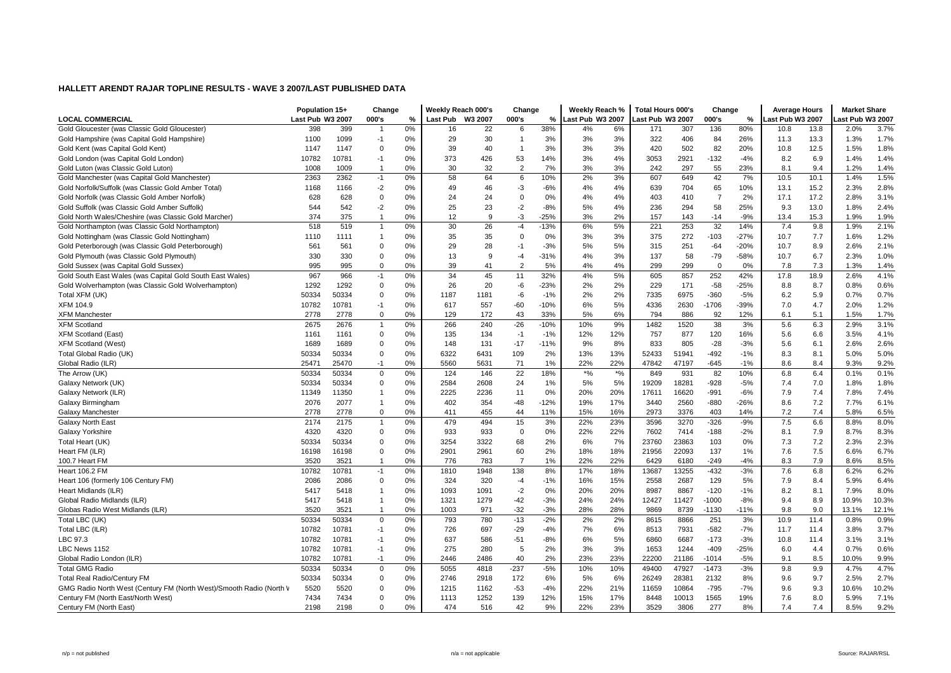|                                                                     | Population 15+   |       | Change         |    | Weekly Reach 000's |      | Change         |        | Weekly Reach %              |        | Total Hours 000's |       | Change         |        | <b>Average Hours</b> |      | <b>Market Share</b> |       |
|---------------------------------------------------------------------|------------------|-------|----------------|----|--------------------|------|----------------|--------|-----------------------------|--------|-------------------|-------|----------------|--------|----------------------|------|---------------------|-------|
| <b>LOCAL COMMERCIAL</b>                                             | Last Pub W3 2007 |       | 000's          | %  | Last Pub W3 2007   |      | 000's          | %      | ast Pub W3 2007             |        | ast Pub W3 2007   |       | 000's          | %      | Last Pub W3 2007     |      | ast Pub W3 2007.    |       |
| Gold Gloucester (was Classic Gold Gloucester)                       | 398              | 399   |                | 0% | 16                 | 22   | 6              | 38%    | 4%                          | 6%     | 171               | 307   | 136            | 80%    | 10.8                 | 13.8 | 2.0%                | 3.7%  |
| Gold Hampshire (was Capital Gold Hampshire)                         | 1100             | 1099  | $-1$           | 0% | 29                 | 30   |                | 3%     | 3%                          | 3%     | 322               | 406   | 84             | 26%    | 11.3                 | 13.3 | 1.3%                | 1.7%  |
| Gold Kent (was Capital Gold Kent)                                   | 1147             | 1147  | $\mathbf 0$    | 0% | 39                 | 40   | -1             | 3%     | 3%                          | 3%     | 420               | 502   | 82             | 20%    | 10.8                 | 12.5 | 1.5%                | 1.8%  |
| Gold London (was Capital Gold London)                               | 10782            | 10781 | $-1$           | 0% | 373                | 426  | 53             | 14%    | 3%                          | 4%     | 3053              | 2921  | $-132$         | -4%    | 8.2                  | 6.9  | 1.4%                | 1.4%  |
| Gold Luton (was Classic Gold Luton)                                 | 1008             | 1009  | $\overline{1}$ | 0% | 30                 | 32   | $\overline{2}$ | 7%     | 3%                          | 3%     | 242               | 297   | 55             | 23%    | 8.1                  | 9.4  | 1.2%                | 1.4%  |
| Gold Manchester (was Capital Gold Manchester)                       | 2363             | 2362  | $-1$           | 0% | 58                 | 64   | 6              | 10%    | 2%                          | 3%     | 607               | 649   | 42             | 7%     | 10.5                 | 10.1 | 1.4%                | 1.5%  |
| Gold Norfolk/Suffolk (was Classic Gold Amber Total)                 | 1168             | 1166  | $-2$           | 0% | 49                 | 46   | -3             | $-6%$  | 4%                          | 4%     | 639               | 704   | 65             | 10%    | 13.1                 | 15.2 | 2.3%                | 2.8%  |
| Gold Norfolk (was Classic Gold Amber Norfolk)                       | 628              | 628   | $\mathsf 0$    | 0% | 24                 | 24   | $\Omega$       | 0%     | 4%                          | 4%     | 403               | 410   | $\overline{7}$ | 2%     | 17.1                 | 17.2 | 2.8%                | 3.1%  |
| Gold Suffolk (was Classic Gold Amber Suffolk)                       | 544              | 542   | $-2$           | 0% | 25                 | 23   | $-2$           | $-8%$  | 5%                          | 4%     | 236               | 294   | 58             | 25%    | 9.3                  | 13.0 | 1.8%                | 2.4%  |
| Gold North Wales/Cheshire (was Classic Gold Marcher)                | 374              | 375   | $\overline{1}$ | 0% | 12                 | 9    | -3             | $-25%$ | 3%                          | 2%     | 157               | 143   | $-14$          | $-9%$  | 13.4                 | 15.3 | 1.9%                | 1.9%  |
| Gold Northampton (was Classic Gold Northampton)                     | 518              | 519   | $\mathbf{1}$   | 0% | 30                 | 26   | $-4$           | $-13%$ | 6%                          | 5%     | 221               | 253   | 32             | 14%    | 7.4                  | 9.8  | 1.9%                | 2.1%  |
| Gold Nottingham (was Classic Gold Nottingham)                       | 1110             | 1111  | $\overline{1}$ | 0% | 35                 | 35   | $\Omega$       | 0%     | 3%                          | 3%     | 375               | 272   | $-103$         | $-27%$ | 10.7                 | 7.7  | 1.6%                | 1.2%  |
| Gold Peterborough (was Classic Gold Peterborough)                   | 561              | 561   | $\mathbf 0$    | 0% | 29                 | 28   | $-1$           | $-3%$  | 5%                          | 5%     | 315               | 251   | $-64$          | $-20%$ | 10.7                 | 8.9  | 2.6%                | 2.1%  |
| Gold Plymouth (was Classic Gold Plymouth)                           | 330              | 330   | $\Omega$       | 0% | 13                 | 9    | -4             | $-31%$ | 4%                          | 3%     | 137               | 58    | $-79$          | $-58%$ | 10.7                 | 6.7  | 2.3%                | 1.0%  |
| Gold Sussex (was Capital Gold Sussex)                               | 995              | 995   | $\mathbf 0$    | 0% | 39                 | 41   | $\overline{2}$ | 5%     | 4%                          | 4%     | 299               | 299   | $\Omega$       | 0%     | 7.8                  | 7.3  | 1.3%                | 1.4%  |
| Gold South East Wales (was Capital Gold South East Wales)           | 967              | 966   | $-1$           | 0% | 34                 | 45   | 11             | 32%    | 4%                          | 5%     | 605               | 857   | 252            | 42%    | 17.8                 | 18.9 | 2.6%                | 4.1%  |
| Gold Wolverhampton (was Classic Gold Wolverhampton)                 | 1292             | 1292  | $\mathbf 0$    | 0% | 26                 | 20   | $-6$           | $-23%$ | 2%                          | 2%     | 229               | 171   | $-58$          | $-25%$ | 8.8                  | 8.7  | 0.8%                | 0.6%  |
| Total XFM (UK)                                                      | 50334            | 50334 | $\mathbf 0$    | 0% | 1187               | 1181 | -6             | $-1%$  | 2%                          | 2%     | 7335              | 6975  | $-360$         | $-5%$  | 6.2                  | 5.9  | 0.7%                | 0.7%  |
| <b>XFM 104.9</b>                                                    | 10782            | 10781 | $-1$           | 0% | 617                | 557  | $-60$          | $-10%$ | 6%                          | 5%     | 4336              | 2630  | $-1706$        | -39%   | 7.0                  | 4.7  | 2.0%                | 1.2%  |
| <b>XFM Manchester</b>                                               | 2778             | 2778  | $\mathbf 0$    | 0% | 129                | 172  | 43             | 33%    | 5%                          | 6%     | 794               | 886   | 92             | 12%    | 6.1                  | 5.1  | 1.5%                | 1.7%  |
| <b>XFM Scotland</b>                                                 | 2675             | 2676  | $\overline{1}$ | 0% | 266                | 240  | $-26$          | $-10%$ | 10%                         | 9%     | 1482              | 1520  | 38             | 3%     | 5.6                  | 6.3  | 2.9%                | 3.1%  |
| <b>XFM Scotland (East)</b>                                          | 1161             | 1161  | $\mathsf 0$    | 0% | 135                | 134  | $-1$           | $-1%$  | 12%                         | 12%    | 757               | 877   | 120            | 16%    | 5.6                  | 6.6  | 3.5%                | 4.1%  |
| <b>XFM Scotland (West)</b>                                          | 1689             | 1689  | $\mathbf 0$    | 0% | 148                | 131  | $-17$          | $-11%$ | 9%                          | 8%     | 833               | 805   | $-28$          | $-3%$  | 5.6                  | 6.1  | 2.6%                | 2.6%  |
| Total Global Radio (UK)                                             | 50334            | 50334 | $\mathbf 0$    | 0% | 6322               | 6431 | 109            | 2%     | 13%                         | 13%    | 52433             | 51941 | $-492$         | $-1%$  | 8.3                  | 8.1  | 5.0%                | 5.0%  |
| Global Radio (ILR)                                                  | 25471            | 25470 | $-1$           | 0% | 5560               | 5631 | 71             | 1%     | 22%                         | 22%    | 47842             | 47197 | $-645$         | $-1%$  | 8.6                  | 8.4  | 9.3%                | 9.2%  |
| The Arrow (UK)                                                      | 50334            | 50334 | $\mathbf 0$    | 0% | 124                | 146  | 22             | 18%    | $\boldsymbol{^{*0}}\!/\!_0$ | $*9/6$ | 849               | 931   | 82             | 10%    | 6.8                  | 6.4  | 0.1%                | 0.1%  |
| Galaxy Network (UK)                                                 | 50334            | 50334 | $\mathsf 0$    | 0% | 2584               | 2608 | 24             | 1%     | 5%                          | 5%     | 19209             | 18281 | $-928$         | $-5%$  | 7.4                  | 7.0  | 1.8%                | 1.8%  |
| Galaxy Network (ILR)                                                | 11349            | 11350 |                | 0% | 2225               | 2236 | 11             | 0%     | 20%                         | 20%    | 17611             | 16620 | $-991$         | $-6%$  | 7.9                  | 7.4  | 7.8%                | 7.4%  |
| Galaxy Birmingham                                                   | 2076             | 2077  | $\overline{1}$ | 0% | 402                | 354  | $-48$          | $-12%$ | 19%                         | 17%    | 3440              | 2560  | $-880$         | $-26%$ | 8.6                  | 7.2  | 7.7%                | 6.1%  |
| Galaxy Manchester                                                   | 2778             | 2778  | $\mathbf 0$    | 0% | 411                | 455  | 44             | 11%    | 15%                         | 16%    | 2973              | 3376  | 403            | 14%    | 7.2                  | 7.4  | 5.8%                | 6.5%  |
| Galaxy North East                                                   | 2174             | 2175  | $\overline{1}$ | 0% | 479                | 494  | 15             | 3%     | 22%                         | 23%    | 3596              | 3270  | $-326$         | $-9%$  | 7.5                  | 6.6  | 8.8%                | 8.0%  |
| Galaxy Yorkshire                                                    | 4320             | 4320  | $\mathbf 0$    | 0% | 933                | 933  | $\mathbf 0$    | 0%     | 22%                         | 22%    | 7602              | 7414  | $-188$         | $-2%$  | 8.1                  | 7.9  | 8.7%                | 8.3%  |
| Total Heart (UK)                                                    | 50334            | 50334 | $\mathbf 0$    | 0% | 3254               | 3322 | 68             | 2%     | 6%                          | 7%     | 23760             | 23863 | 103            | 0%     | 7.3                  | 7.2  | 2.3%                | 2.3%  |
| Heart FM (ILR)                                                      | 16198            | 16198 | $\mathbf 0$    | 0% | 2901               | 2961 | 60             | 2%     | 18%                         | 18%    | 21956             | 22093 | 137            | 1%     | 7.6                  | 7.5  | 6.6%                | 6.7%  |
| 100.7 Heart FM                                                      | 3520             | 3521  | $\overline{1}$ | 0% | 776                | 783  | $\overline{7}$ | 1%     | 22%                         | 22%    | 6429              | 6180  | $-249$         | $-4%$  | 8.3                  | 7.9  | 8.6%                | 8.5%  |
| <b>Heart 106.2 FM</b>                                               | 10782            | 10781 | $-1$           | 0% | 1810               | 1948 | 138            | 8%     | 17%                         | 18%    | 13687             | 13255 | $-432$         | $-3%$  | 7.6                  | 6.8  | 6.2%                | 6.2%  |
| Heart 106 (formerly 106 Century FM)                                 | 2086             | 2086  | 0              | 0% | 324                | 320  | $-4$           | $-1%$  | 16%                         | 15%    | 2558              | 2687  | 129            | 5%     | 7.9                  | 8.4  | 5.9%                | 6.4%  |
| Heart Midlands (ILR)                                                | 5417             | 5418  | $\mathbf{1}$   | 0% | 1093               | 1091 | $-2$           | 0%     | 20%                         | 20%    | 8987              | 8867  | $-120$         | $-1%$  | 8.2                  | 8.1  | 7.9%                | 8.0%  |
| Global Radio Midlands (ILR)                                         | 5417             | 5418  | $\overline{1}$ | 0% | 1321               | 1279 | $-42$          | $-3%$  | 24%                         | 24%    | 12427             | 11427 | $-1000$        | $-8%$  | 9.4                  | 8.9  | 10.9%               | 10.3% |
| Globas Radio West Midlands (ILR)                                    | 3520             | 3521  | $\overline{1}$ | 0% | 1003               | 971  | $-32$          | $-3%$  | 28%                         | 28%    | 9869              | 8739  | $-1130$        | $-11%$ | 9.8                  | 9.0  | 13.1%               | 12.1% |
| Total LBC (UK)                                                      | 50334            | 50334 | $\mathsf 0$    | 0% | 793                | 780  | $-13$          | $-2%$  | 2%                          | 2%     | 8615              | 8866  | 251            | 3%     | 10.9                 | 11.4 | 0.8%                | 0.9%  |
| Total LBC (ILR)                                                     | 10782            | 10781 | $-1$           | 0% | 726                | 697  | $-29$          | $-4%$  | 7%                          | 6%     | 8513              | 7931  | $-582$         | $-7%$  | 11.7                 | 11.4 | 3.8%                | 3.7%  |
| LBC 97.3                                                            | 10782            | 10781 | $-1$           | 0% | 637                | 586  | $-51$          | $-8%$  | 6%                          | 5%     | 6860              | 6687  | $-173$         | $-3%$  | 10.8                 | 11.4 | 3.1%                | 3.1%  |
| LBC News 1152                                                       | 10782            | 10781 | $-1$           | 0% | 275                | 280  | 5              | 2%     | 3%                          | 3%     | 1653              | 1244  | $-409$         | $-25%$ | 6.0                  | 4.4  | 0.7%                | 0.6%  |
| Global Radio London (ILR)                                           | 10782            | 10781 | $-1$           | 0% | 2446               | 2486 | 40             | 2%     | 23%                         | 23%    | 22200             | 21186 | $-1014$        | $-5%$  | 9.1                  | 8.5  | 10.0%               | 9.9%  |
| <b>Total GMG Radio</b>                                              | 50334            | 50334 | $\mathsf 0$    | 0% | 5055               | 4818 | $-237$         | $-5%$  | 10%                         | 10%    | 49400             | 47927 | $-1473$        | $-3%$  | 9.8                  | 9.9  | 4.7%                | 4.7%  |
| <b>Total Real Radio/Century FM</b>                                  | 50334            | 50334 | $\mathbf 0$    | 0% | 2746               | 2918 | 172            | 6%     | 5%                          | 6%     | 26249             | 28381 | 2132           | 8%     | 9.6                  | 9.7  | 2.5%                | 2.7%  |
| GMG Radio North West (Century FM (North West)/Smooth Radio (North V | 5520             | 5520  | $\mathbf 0$    | 0% | 1215               | 1162 | $-53$          | $-4%$  | 22%                         | 21%    | 11659             | 10864 | $-795$         | $-7%$  | 9.6                  | 9.3  | 10.6%               | 10.2% |
| Century FM (North East/North West)                                  | 7434             | 7434  | $\Omega$       | 0% | 1113               | 1252 | 139            | 12%    | 15%                         | 17%    | 8448              | 10013 | 1565           | 19%    | 7.6                  | 8.0  | 5.9%                | 7.1%  |
| Century FM (North East)                                             | 2198             | 2198  | $\Omega$       | 0% | 474                | 516  | 42             | 9%     | 22%                         | 23%    | 3529              | 3806  | 277            | 8%     | 7.4                  | 7.4  | 8.5%                | 9.2%  |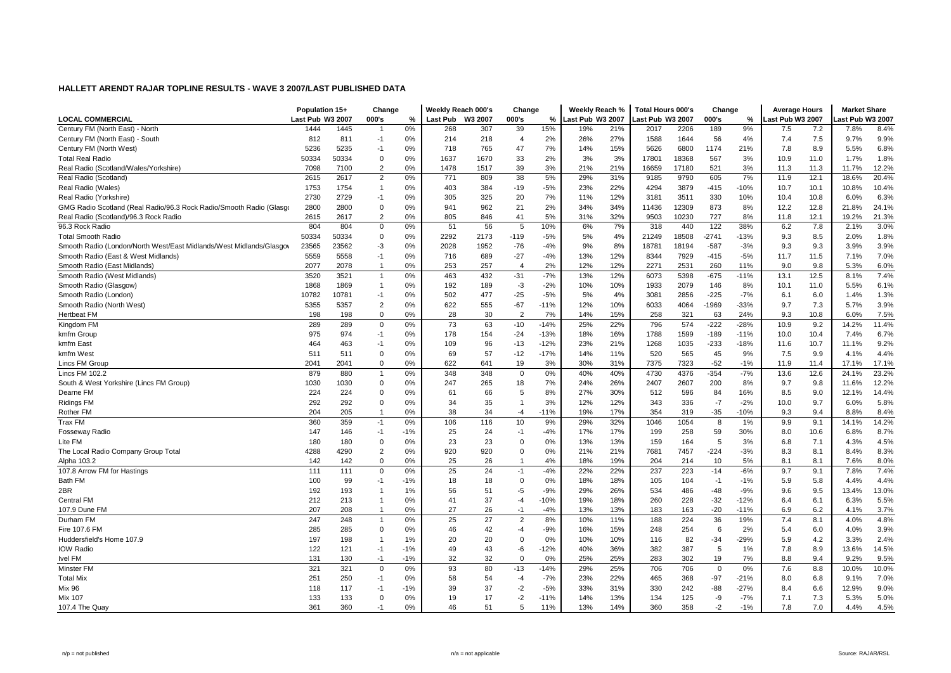| <b>LOCAL COMMERCIAL</b><br>Last Pub W3 2007<br>000's<br><b>Last Pub</b><br>W3 2007<br>000's<br>%<br>Last Pub W3 2007<br>ast Pub W3 2007.<br>000's<br>Last Pub W3 2007<br>ast Pub W3 2007.<br>%<br>%<br>15%<br>Century FM (North East) - North<br>0%<br>39<br>21%<br>2206<br>189<br>9%<br>7.2<br>8.4%<br>1444<br>1445<br>307<br>2017<br>7.8%<br>268<br>19%<br>7.5<br>812<br>218<br>2%<br>27%<br>56<br>7.5<br>9.7%<br>9.9%<br>Century FM (North East) - South<br>811<br>0%<br>214<br>$\overline{4}$<br>26%<br>1588<br>1644<br>4%<br>7.4<br>$-1$<br>5236<br>5235<br>765<br>7%<br>15%<br>6800<br>8.9<br>5.5%<br>6.8%<br>Century FM (North West)<br>0%<br>718<br>47<br>14%<br>5626<br>1174<br>21%<br>7.8<br>$-1$<br>50334<br>1670<br>33<br>2%<br>3%<br>3%<br>567<br>3%<br>11.0<br>1.8%<br><b>Total Real Radio</b><br>50334<br>$\mathbf 0$<br>0%<br>1637<br>17801<br>18368<br>10.9<br>1.7%<br>$\overline{2}$<br>39<br>3%<br>21%<br>Real Radio (Scotland/Wales/Yorkshire)<br>7098<br>7100<br>0%<br>1478<br>1517<br>21%<br>16659<br>17180<br>521<br>3%<br>11.3<br>11.7%<br>12.2%<br>11.3<br>31%<br>20.4%<br>2615<br>2617<br>$\overline{2}$<br>771<br>38<br>5%<br>29%<br>9790<br>605<br>7%<br>11.9<br>12.1<br>18.6%<br>Real Radio (Scotland)<br>0%<br>809<br>9185<br>22%<br>Real Radio (Wales)<br>1753<br>1754<br>0%<br>403<br>384<br>$-19$<br>$-5%$<br>23%<br>4294<br>3879<br>$-415$<br>$-10%$<br>10.7<br>10.1<br>10.8%<br>10.4%<br>1<br>2730<br>2729<br>325<br>20<br>7%<br>12%<br>3511<br>330<br>10%<br>10.8<br>6.3%<br>Real Radio (Yorkshire)<br>0%<br>305<br>11%<br>3181<br>10.4<br>6.0%<br>$-1$<br>GMG Radio Scotland (Real Radio/96.3 Rock Radio/Smooth Radio (Glasgo<br>2800<br>2800<br>0%<br>962<br>21<br>2%<br>34%<br>34%<br>11436<br>12309<br>873<br>12.2<br>12.8<br>21.8%<br>24.1%<br>$\Omega$<br>941<br>8%<br>32%<br>2615<br>2617<br>$\overline{2}$<br>0%<br>805<br>846<br>41<br>5%<br>9503<br>10230<br>727<br>8%<br>12.1<br>19.2%<br>21.3%<br>Real Radio (Scotland)/96.3 Rock Radio<br>31%<br>11.8<br>3.0%<br>96.3 Rock Radio<br>804<br>804<br>0%<br>56<br>7%<br>122<br>38%<br>6.2<br>$\mathbf 0$<br>51<br>5<br>10%<br>6%<br>318<br>440<br>7.8<br>2.1%<br>50334<br>$\mathsf 0$<br>2292<br>2173<br>$-5%$<br>5%<br>4%<br>18508<br>$-2741$<br>$-13%$<br>8.5<br>1.8%<br><b>Total Smooth Radio</b><br>50334<br>0%<br>$-119$<br>21249<br>9.3<br>2.0%<br>23565<br>23562<br>-3<br>8%<br>$-587$<br>$-3%$<br>9.3<br>3.9%<br>3.9%<br>Smooth Radio (London/North West/East Midlands/West Midlands/Glasgov<br>0%<br>2028<br>1952<br>$-76$<br>$-4%$<br>9%<br>18781<br>18194<br>9.3<br>5558<br>$-27$<br>$-4%$<br>12%<br>7.0%<br>Smooth Radio (East & West Midlands)<br>5559<br>0%<br>716<br>689<br>13%<br>8344<br>7929<br>$-415$<br>$-5%$<br>11.7<br>11.5<br>7.1%<br>$-1$<br>12%<br>0%<br>2%<br>9.0<br>9.8<br>6.0%<br>Smooth Radio (East Midlands)<br>2077<br>2078<br>253<br>257<br>$\overline{4}$<br>12%<br>2271<br>2531<br>260<br>11%<br>5.3%<br>$\overline{1}$<br>3520<br>3521<br>0%<br>432<br>$-31$<br>$-7%$<br>13%<br>12%<br>5398<br>$-675$<br>$-11%$<br>13.1<br>12.5<br>8.1%<br>7.4%<br>Smooth Radio (West Midlands)<br>$\overline{1}$<br>463<br>6073<br>Smooth Radio (Glasgow)<br>1868<br>1869<br>0%<br>192<br>189<br>-3<br>$-2%$<br>10%<br>10%<br>1933<br>2079<br>146<br>8%<br>10.1<br>11.0<br>5.5%<br>6.1%<br>$\mathbf{1}$<br>477<br>$-5%$<br>$-225$<br>1.3%<br>Smooth Radio (London)<br>10782<br>10781<br>0%<br>502<br>$-25$<br>5%<br>4%<br>3081<br>2856<br>$-7%$<br>6.1<br>6.0<br>1.4%<br>$-1$<br>5357<br>$\overline{2}$<br>0%<br>555<br>$-67$<br>$-11%$<br>12%<br>10%<br>4064<br>$-1969$<br>$-33%$<br>9.7<br>7.3<br>5.7%<br>3.9%<br>Smooth Radio (North West)<br>5355<br>622<br>6033<br>$\mathbf 0$<br>28<br>30<br>7%<br>15%<br>258<br>321<br>63<br>24%<br>10.8<br>7.5%<br><b>Hertbeat FM</b><br>198<br>198<br>0%<br>$\overline{2}$<br>14%<br>9.3<br>6.0%<br>289<br>$\mathbf 0$<br>73<br>63<br>$-14%$<br>25%<br>22%<br>796<br>574<br>$-222$<br>$-28%$<br>10.9<br>9.2<br>11.4%<br>Kingdom FM<br>289<br>0%<br>$-10$<br>14.2%<br>16%<br>kmfm Group<br>975<br>974<br>$-24$<br>$-13%$<br>1788<br>1599<br>$-189$<br>10.0<br>6.7%<br>$-1$<br>0%<br>178<br>154<br>18%<br>$-11%$<br>10.4<br>7.4%<br>$-12%$<br>$-233$<br>9.2%<br>464<br>463<br>0%<br>109<br>96<br>$-13$<br>23%<br>21%<br>1268<br>1035<br>$-18%$<br>11.6<br>10.7<br>11.1%<br>kmfm East<br>-1<br>$-17%$<br>520<br>45<br>9.9<br>4.4%<br>kmfm West<br>511<br>511<br>$\mathbf 0$<br>0%<br>69<br>57<br>$-12$<br>14%<br>11%<br>565<br>9%<br>7.5<br>4.1%<br>3%<br>31%<br>$-52$<br>Lincs FM Group<br>2041<br>2041<br>$\Omega$<br>0%<br>622<br>641<br>19<br>30%<br>7375<br>7323<br>$-1%$<br>11.9<br>11.4<br>17.1%<br>17.1%<br>0%<br>40%<br>4376<br>$-354$<br>$-7%$<br>12.6<br>23.2%<br>Lincs FM 102.2<br>879<br>880<br>348<br>348<br>$\mathbf 0$<br>0%<br>40%<br>4730<br>13.6<br>24.1%<br>1<br>South & West Yorkshire (Lincs FM Group)<br>1030<br>1030<br>$\Omega$<br>247<br>265<br>18<br>7%<br>24%<br>26%<br>2407<br>2607<br>200<br>8%<br>9.7<br>9.8<br>11.6%<br>12.2%<br>0%<br>14.4%<br>224<br>224<br>$\Omega$<br>0%<br>66<br>5<br>8%<br>27%<br>30%<br>512<br>596<br>84<br>16%<br>8.5<br>9.0<br>12.1%<br>Dearne FM<br>61<br>292<br>12%<br>$-2%$<br>9.7<br>5.8%<br><b>Ridings FM</b><br>292<br>$\Omega$<br>0%<br>34<br>35<br>3%<br>12%<br>343<br>336<br>$-7$<br>10.0<br>6.0%<br>-1<br>0%<br>38<br>$-11%$<br>17%<br>$-35$<br>$-10%$<br>Rother FM<br>204<br>205<br>34<br>19%<br>354<br>319<br>9.3<br>9.4<br>8.8%<br>8.4%<br>1<br>$-4$<br>9%<br>32%<br><b>Trax FM</b><br>360<br>359<br>$-1$<br>0%<br>106<br>116<br>10<br>29%<br>1046<br>1054<br>8<br>1%<br>9.9<br>9.1<br>14.1%<br>14.2%<br>25<br>17%<br>59<br>8.7%<br>147<br>146<br>$-1$<br>$-1%$<br>24<br>$-1$<br>$-4%$<br>17%<br>199<br>258<br>30%<br>8.0<br>10.6<br>6.8%<br><b>Fosseway Radio</b><br>23<br>13%<br>5<br>4.5%<br>Lite FM<br>180<br>180<br>$\overline{0}$<br>0%<br>23<br>$\mathbf 0$<br>0%<br>13%<br>159<br>164<br>3%<br>7.1<br>4.3%<br>6.8<br>8.3%<br>The Local Radio Company Group Total<br>4288<br>4290<br>$\overline{2}$<br>0%<br>920<br>920<br>$\mathbf 0$<br>0%<br>21%<br>21%<br>7681<br>7457<br>$-224$<br>$-3%$<br>8.3<br>8.1<br>8.4%<br>Alpha 103.2<br>142<br>142<br>$\Omega$<br>0%<br>25<br>26<br>4%<br>18%<br>19%<br>204<br>214<br>10<br>5%<br>8.1<br>8.1<br>7.6%<br>8.0%<br>111<br>0%<br>25<br>24<br>$-4%$<br>22%<br>22%<br>237<br>223<br>$-14$<br>$-6%$<br>9.7<br>9.1<br>7.8%<br>7.4%<br>107.8 Arrow FM for Hastings<br>111<br>$\Omega$<br>$-1$<br>Bath FM<br>18<br>$\mathbf 0$<br>0%<br>18%<br>105<br>5.8<br>4.4%<br>100<br>99<br>$-1%$<br>18<br>18%<br>104<br>$-1%$<br>5.9<br>4.4%<br>$-1$<br>$-1$<br>2BR<br>192<br>193<br>1%<br>56<br>51<br>$-9%$<br>29%<br>26%<br>534<br>486<br>$-48$<br>$-9%$<br>9.6<br>9.5<br>13.4%<br>13.0%<br>$-5$<br>1<br>5.5%<br>212<br>213<br>0%<br>41<br>37<br>$-10%$<br>19%<br>18%<br>260<br>228<br>$-32$<br>$-12%$<br>6.4<br>6.1<br>6.3%<br><b>Central FM</b><br>$-4$<br>1<br>27<br>13%<br>$-20$<br>6.2<br>207<br>208<br>0%<br>26<br>$-4%$<br>13%<br>183<br>$-11%$<br>6.9<br>3.7%<br>107.9 Dune FM<br>$\overline{1}$<br>$-1$<br>163<br>4.1%<br>25<br>27<br>4.8%<br>Durham FM<br>247<br>248<br>0%<br>$\overline{2}$<br>8%<br>11%<br>188<br>224<br>36<br>19%<br>7.4<br>8.1<br>4.0%<br>$\overline{1}$<br>10%<br>3.9%<br>Fire 107.6 FM<br>285<br>285<br>$\Omega$<br>0%<br>46<br>42<br>$-9%$<br>16%<br>15%<br>248<br>254<br>6<br>2%<br>5.4<br>6.0<br>4.0%<br>$-4$<br>0%<br>82<br>$-34$<br>$-29%$<br>4.2<br>2.4%<br>Huddersfield's Home 107.9<br>197<br>198<br>1%<br>20<br>20<br>$\Omega$<br>10%<br>10%<br>116<br>5.9<br>3.3%<br>1<br>$-12%$<br>387<br>14.5%<br><b>IOW Radio</b><br>122<br>121<br>$-1%$<br>49<br>43<br>$-6$<br>40%<br>36%<br>382<br>5<br>1%<br>7.8<br>8.9<br>13.6%<br>$-1$<br>131<br>130<br>$-1%$<br>32<br>32<br>$\mathbf 0$<br>0%<br>25%<br>25%<br>283<br>302<br>19<br>7%<br>8.8<br>9.4<br>9.2%<br>9.5%<br><b>Ivel FM</b><br>$-1$<br>93<br>25%<br>8.8<br>10.0%<br>Minster FM<br>321<br>321<br>$\mathbf 0$<br>0%<br>80<br>$-13$<br>$-14%$<br>29%<br>706<br>706<br>$\mathbf 0$<br>0%<br>7.6<br>10.0%<br>58<br>$-7%$<br>22%<br>$-97$<br><b>Total Mix</b><br>251<br>250<br>0%<br>54<br>23%<br>465<br>368<br>$-21%$<br>8.0<br>6.8<br>7.0%<br>$-1$<br>$-4$<br>9.1%<br>117<br>39<br>37<br>$-5%$<br>31%<br>$-88$<br>$-27%$<br>6.6<br>12.9%<br>9.0%<br><b>Mix 96</b><br>118<br>$-1%$<br>$-2$<br>33%<br>330<br>242<br>8.4<br>$-1$<br>133<br>13%<br>134<br>$-7%$<br>7.3<br>5.0%<br><b>Mix 107</b><br>133<br>$\Omega$<br>0%<br>19<br>17<br>-2<br>$-11%$<br>14%<br>125<br>-9<br>7.1<br>5.3%<br>7.0<br>360<br>0%<br>46<br>51<br>5<br>13%<br>14%<br>360<br>358<br>$-2$<br>$-1%$<br>7.8<br>4.5%<br>107.4 The Quay<br>361<br>$-1$<br>11%<br>4.4% | Population 15+ | Change | Weekly Reach 000's | Change | Weekly Reach % | Total Hours 000's | Change | <b>Average Hours</b> | <b>Market Share</b> |  |
|-------------------------------------------------------------------------------------------------------------------------------------------------------------------------------------------------------------------------------------------------------------------------------------------------------------------------------------------------------------------------------------------------------------------------------------------------------------------------------------------------------------------------------------------------------------------------------------------------------------------------------------------------------------------------------------------------------------------------------------------------------------------------------------------------------------------------------------------------------------------------------------------------------------------------------------------------------------------------------------------------------------------------------------------------------------------------------------------------------------------------------------------------------------------------------------------------------------------------------------------------------------------------------------------------------------------------------------------------------------------------------------------------------------------------------------------------------------------------------------------------------------------------------------------------------------------------------------------------------------------------------------------------------------------------------------------------------------------------------------------------------------------------------------------------------------------------------------------------------------------------------------------------------------------------------------------------------------------------------------------------------------------------------------------------------------------------------------------------------------------------------------------------------------------------------------------------------------------------------------------------------------------------------------------------------------------------------------------------------------------------------------------------------------------------------------------------------------------------------------------------------------------------------------------------------------------------------------------------------------------------------------------------------------------------------------------------------------------------------------------------------------------------------------------------------------------------------------------------------------------------------------------------------------------------------------------------------------------------------------------------------------------------------------------------------------------------------------------------------------------------------------------------------------------------------------------------------------------------------------------------------------------------------------------------------------------------------------------------------------------------------------------------------------------------------------------------------------------------------------------------------------------------------------------------------------------------------------------------------------------------------------------------------------------------------------------------------------------------------------------------------------------------------------------------------------------------------------------------------------------------------------------------------------------------------------------------------------------------------------------------------------------------------------------------------------------------------------------------------------------------------------------------------------------------------------------------------------------------------------------------------------------------------------------------------------------------------------------------------------------------------------------------------------------------------------------------------------------------------------------------------------------------------------------------------------------------------------------------------------------------------------------------------------------------------------------------------------------------------------------------------------------------------------------------------------------------------------------------------------------------------------------------------------------------------------------------------------------------------------------------------------------------------------------------------------------------------------------------------------------------------------------------------------------------------------------------------------------------------------------------------------------------------------------------------------------------------------------------------------------------------------------------------------------------------------------------------------------------------------------------------------------------------------------------------------------------------------------------------------------------------------------------------------------------------------------------------------------------------------------------------------------------------------------------------------------------------------------------------------------------------------------------------------------------------------------------------------------------------------------------------------------------------------------------------------------------------------------------------------------------------------------------------------------------------------------------------------------------------------------------------------------------------------------------------------------------------------------------------------------------------------------------------------------------------------------------------------------------------------------------------------------------------------------------------------------------------------------------------------------------------------------------------------------------------------------------------------------------------------------------------------------------------------------------------------------------------------------------------------------------------------------------------------------------------------------------------------------------------------------------------------------------------------------------------------------------------------------------------------------------------------------------------------------------------------------------------------------------------------------------------------------------------------------------------------------------------------------------------------------------------------------------------------------------------------------------------------------------------------------------------------------------------------------------------------------------------------------------------------------------------------------------------------------------------------------------------------------------------------------------------------------------------------------------------------------------------------------------------------------------------------------------------------------------------------------------------------------------------------------------------------------------------------------------------------------------------------------------------------------------------------------------------------------------------------------------------------------------------------------------------------------------------------------------------------------------------------------------------------------------------------------------------------------------------------------------------------------------------------------------------------------------------------------------------------------------------------------------------------------------------------------------------------------------------------------------|----------------|--------|--------------------|--------|----------------|-------------------|--------|----------------------|---------------------|--|
|                                                                                                                                                                                                                                                                                                                                                                                                                                                                                                                                                                                                                                                                                                                                                                                                                                                                                                                                                                                                                                                                                                                                                                                                                                                                                                                                                                                                                                                                                                                                                                                                                                                                                                                                                                                                                                                                                                                                                                                                                                                                                                                                                                                                                                                                                                                                                                                                                                                                                                                                                                                                                                                                                                                                                                                                                                                                                                                                                                                                                                                                                                                                                                                                                                                                                                                                                                                                                                                                                                                                                                                                                                                                                                                                                                                                                                                                                                                                                                                                                                                                                                                                                                                                                                                                                                                                                                                                                                                                                                                                                                                                                                                                                                                                                                                                                                                                                                                                                                                                                                                                                                                                                                                                                                                                                                                                                                                                                                                                                                                                                                                                                                                                                                                                                                                                                                                                                                                                                                                                                                                                                                                                                                                                                                                                                                                                                                                                                                                                                                                                                                                                                                                                                                                                                                                                                                                                                                                                                                                                                                                                                                                                                                                                                                                                                                                                                                                                                                                                                                                                                                                                                                                                                                                                                                                                                                                                                                                                                                                                                                                                                                                                                                                                                                                                                                                                                                                                                                                                                                                                                                                                                                                                                                 |                |        |                    |        |                |                   |        |                      |                     |  |
|                                                                                                                                                                                                                                                                                                                                                                                                                                                                                                                                                                                                                                                                                                                                                                                                                                                                                                                                                                                                                                                                                                                                                                                                                                                                                                                                                                                                                                                                                                                                                                                                                                                                                                                                                                                                                                                                                                                                                                                                                                                                                                                                                                                                                                                                                                                                                                                                                                                                                                                                                                                                                                                                                                                                                                                                                                                                                                                                                                                                                                                                                                                                                                                                                                                                                                                                                                                                                                                                                                                                                                                                                                                                                                                                                                                                                                                                                                                                                                                                                                                                                                                                                                                                                                                                                                                                                                                                                                                                                                                                                                                                                                                                                                                                                                                                                                                                                                                                                                                                                                                                                                                                                                                                                                                                                                                                                                                                                                                                                                                                                                                                                                                                                                                                                                                                                                                                                                                                                                                                                                                                                                                                                                                                                                                                                                                                                                                                                                                                                                                                                                                                                                                                                                                                                                                                                                                                                                                                                                                                                                                                                                                                                                                                                                                                                                                                                                                                                                                                                                                                                                                                                                                                                                                                                                                                                                                                                                                                                                                                                                                                                                                                                                                                                                                                                                                                                                                                                                                                                                                                                                                                                                                                                                 |                |        |                    |        |                |                   |        |                      |                     |  |
|                                                                                                                                                                                                                                                                                                                                                                                                                                                                                                                                                                                                                                                                                                                                                                                                                                                                                                                                                                                                                                                                                                                                                                                                                                                                                                                                                                                                                                                                                                                                                                                                                                                                                                                                                                                                                                                                                                                                                                                                                                                                                                                                                                                                                                                                                                                                                                                                                                                                                                                                                                                                                                                                                                                                                                                                                                                                                                                                                                                                                                                                                                                                                                                                                                                                                                                                                                                                                                                                                                                                                                                                                                                                                                                                                                                                                                                                                                                                                                                                                                                                                                                                                                                                                                                                                                                                                                                                                                                                                                                                                                                                                                                                                                                                                                                                                                                                                                                                                                                                                                                                                                                                                                                                                                                                                                                                                                                                                                                                                                                                                                                                                                                                                                                                                                                                                                                                                                                                                                                                                                                                                                                                                                                                                                                                                                                                                                                                                                                                                                                                                                                                                                                                                                                                                                                                                                                                                                                                                                                                                                                                                                                                                                                                                                                                                                                                                                                                                                                                                                                                                                                                                                                                                                                                                                                                                                                                                                                                                                                                                                                                                                                                                                                                                                                                                                                                                                                                                                                                                                                                                                                                                                                                                                 |                |        |                    |        |                |                   |        |                      |                     |  |
|                                                                                                                                                                                                                                                                                                                                                                                                                                                                                                                                                                                                                                                                                                                                                                                                                                                                                                                                                                                                                                                                                                                                                                                                                                                                                                                                                                                                                                                                                                                                                                                                                                                                                                                                                                                                                                                                                                                                                                                                                                                                                                                                                                                                                                                                                                                                                                                                                                                                                                                                                                                                                                                                                                                                                                                                                                                                                                                                                                                                                                                                                                                                                                                                                                                                                                                                                                                                                                                                                                                                                                                                                                                                                                                                                                                                                                                                                                                                                                                                                                                                                                                                                                                                                                                                                                                                                                                                                                                                                                                                                                                                                                                                                                                                                                                                                                                                                                                                                                                                                                                                                                                                                                                                                                                                                                                                                                                                                                                                                                                                                                                                                                                                                                                                                                                                                                                                                                                                                                                                                                                                                                                                                                                                                                                                                                                                                                                                                                                                                                                                                                                                                                                                                                                                                                                                                                                                                                                                                                                                                                                                                                                                                                                                                                                                                                                                                                                                                                                                                                                                                                                                                                                                                                                                                                                                                                                                                                                                                                                                                                                                                                                                                                                                                                                                                                                                                                                                                                                                                                                                                                                                                                                                                                 |                |        |                    |        |                |                   |        |                      |                     |  |
|                                                                                                                                                                                                                                                                                                                                                                                                                                                                                                                                                                                                                                                                                                                                                                                                                                                                                                                                                                                                                                                                                                                                                                                                                                                                                                                                                                                                                                                                                                                                                                                                                                                                                                                                                                                                                                                                                                                                                                                                                                                                                                                                                                                                                                                                                                                                                                                                                                                                                                                                                                                                                                                                                                                                                                                                                                                                                                                                                                                                                                                                                                                                                                                                                                                                                                                                                                                                                                                                                                                                                                                                                                                                                                                                                                                                                                                                                                                                                                                                                                                                                                                                                                                                                                                                                                                                                                                                                                                                                                                                                                                                                                                                                                                                                                                                                                                                                                                                                                                                                                                                                                                                                                                                                                                                                                                                                                                                                                                                                                                                                                                                                                                                                                                                                                                                                                                                                                                                                                                                                                                                                                                                                                                                                                                                                                                                                                                                                                                                                                                                                                                                                                                                                                                                                                                                                                                                                                                                                                                                                                                                                                                                                                                                                                                                                                                                                                                                                                                                                                                                                                                                                                                                                                                                                                                                                                                                                                                                                                                                                                                                                                                                                                                                                                                                                                                                                                                                                                                                                                                                                                                                                                                                                                 |                |        |                    |        |                |                   |        |                      |                     |  |
|                                                                                                                                                                                                                                                                                                                                                                                                                                                                                                                                                                                                                                                                                                                                                                                                                                                                                                                                                                                                                                                                                                                                                                                                                                                                                                                                                                                                                                                                                                                                                                                                                                                                                                                                                                                                                                                                                                                                                                                                                                                                                                                                                                                                                                                                                                                                                                                                                                                                                                                                                                                                                                                                                                                                                                                                                                                                                                                                                                                                                                                                                                                                                                                                                                                                                                                                                                                                                                                                                                                                                                                                                                                                                                                                                                                                                                                                                                                                                                                                                                                                                                                                                                                                                                                                                                                                                                                                                                                                                                                                                                                                                                                                                                                                                                                                                                                                                                                                                                                                                                                                                                                                                                                                                                                                                                                                                                                                                                                                                                                                                                                                                                                                                                                                                                                                                                                                                                                                                                                                                                                                                                                                                                                                                                                                                                                                                                                                                                                                                                                                                                                                                                                                                                                                                                                                                                                                                                                                                                                                                                                                                                                                                                                                                                                                                                                                                                                                                                                                                                                                                                                                                                                                                                                                                                                                                                                                                                                                                                                                                                                                                                                                                                                                                                                                                                                                                                                                                                                                                                                                                                                                                                                                                                 |                |        |                    |        |                |                   |        |                      |                     |  |
|                                                                                                                                                                                                                                                                                                                                                                                                                                                                                                                                                                                                                                                                                                                                                                                                                                                                                                                                                                                                                                                                                                                                                                                                                                                                                                                                                                                                                                                                                                                                                                                                                                                                                                                                                                                                                                                                                                                                                                                                                                                                                                                                                                                                                                                                                                                                                                                                                                                                                                                                                                                                                                                                                                                                                                                                                                                                                                                                                                                                                                                                                                                                                                                                                                                                                                                                                                                                                                                                                                                                                                                                                                                                                                                                                                                                                                                                                                                                                                                                                                                                                                                                                                                                                                                                                                                                                                                                                                                                                                                                                                                                                                                                                                                                                                                                                                                                                                                                                                                                                                                                                                                                                                                                                                                                                                                                                                                                                                                                                                                                                                                                                                                                                                                                                                                                                                                                                                                                                                                                                                                                                                                                                                                                                                                                                                                                                                                                                                                                                                                                                                                                                                                                                                                                                                                                                                                                                                                                                                                                                                                                                                                                                                                                                                                                                                                                                                                                                                                                                                                                                                                                                                                                                                                                                                                                                                                                                                                                                                                                                                                                                                                                                                                                                                                                                                                                                                                                                                                                                                                                                                                                                                                                                                 |                |        |                    |        |                |                   |        |                      |                     |  |
|                                                                                                                                                                                                                                                                                                                                                                                                                                                                                                                                                                                                                                                                                                                                                                                                                                                                                                                                                                                                                                                                                                                                                                                                                                                                                                                                                                                                                                                                                                                                                                                                                                                                                                                                                                                                                                                                                                                                                                                                                                                                                                                                                                                                                                                                                                                                                                                                                                                                                                                                                                                                                                                                                                                                                                                                                                                                                                                                                                                                                                                                                                                                                                                                                                                                                                                                                                                                                                                                                                                                                                                                                                                                                                                                                                                                                                                                                                                                                                                                                                                                                                                                                                                                                                                                                                                                                                                                                                                                                                                                                                                                                                                                                                                                                                                                                                                                                                                                                                                                                                                                                                                                                                                                                                                                                                                                                                                                                                                                                                                                                                                                                                                                                                                                                                                                                                                                                                                                                                                                                                                                                                                                                                                                                                                                                                                                                                                                                                                                                                                                                                                                                                                                                                                                                                                                                                                                                                                                                                                                                                                                                                                                                                                                                                                                                                                                                                                                                                                                                                                                                                                                                                                                                                                                                                                                                                                                                                                                                                                                                                                                                                                                                                                                                                                                                                                                                                                                                                                                                                                                                                                                                                                                                                 |                |        |                    |        |                |                   |        |                      |                     |  |
|                                                                                                                                                                                                                                                                                                                                                                                                                                                                                                                                                                                                                                                                                                                                                                                                                                                                                                                                                                                                                                                                                                                                                                                                                                                                                                                                                                                                                                                                                                                                                                                                                                                                                                                                                                                                                                                                                                                                                                                                                                                                                                                                                                                                                                                                                                                                                                                                                                                                                                                                                                                                                                                                                                                                                                                                                                                                                                                                                                                                                                                                                                                                                                                                                                                                                                                                                                                                                                                                                                                                                                                                                                                                                                                                                                                                                                                                                                                                                                                                                                                                                                                                                                                                                                                                                                                                                                                                                                                                                                                                                                                                                                                                                                                                                                                                                                                                                                                                                                                                                                                                                                                                                                                                                                                                                                                                                                                                                                                                                                                                                                                                                                                                                                                                                                                                                                                                                                                                                                                                                                                                                                                                                                                                                                                                                                                                                                                                                                                                                                                                                                                                                                                                                                                                                                                                                                                                                                                                                                                                                                                                                                                                                                                                                                                                                                                                                                                                                                                                                                                                                                                                                                                                                                                                                                                                                                                                                                                                                                                                                                                                                                                                                                                                                                                                                                                                                                                                                                                                                                                                                                                                                                                                                                 |                |        |                    |        |                |                   |        |                      |                     |  |
|                                                                                                                                                                                                                                                                                                                                                                                                                                                                                                                                                                                                                                                                                                                                                                                                                                                                                                                                                                                                                                                                                                                                                                                                                                                                                                                                                                                                                                                                                                                                                                                                                                                                                                                                                                                                                                                                                                                                                                                                                                                                                                                                                                                                                                                                                                                                                                                                                                                                                                                                                                                                                                                                                                                                                                                                                                                                                                                                                                                                                                                                                                                                                                                                                                                                                                                                                                                                                                                                                                                                                                                                                                                                                                                                                                                                                                                                                                                                                                                                                                                                                                                                                                                                                                                                                                                                                                                                                                                                                                                                                                                                                                                                                                                                                                                                                                                                                                                                                                                                                                                                                                                                                                                                                                                                                                                                                                                                                                                                                                                                                                                                                                                                                                                                                                                                                                                                                                                                                                                                                                                                                                                                                                                                                                                                                                                                                                                                                                                                                                                                                                                                                                                                                                                                                                                                                                                                                                                                                                                                                                                                                                                                                                                                                                                                                                                                                                                                                                                                                                                                                                                                                                                                                                                                                                                                                                                                                                                                                                                                                                                                                                                                                                                                                                                                                                                                                                                                                                                                                                                                                                                                                                                                                                 |                |        |                    |        |                |                   |        |                      |                     |  |
|                                                                                                                                                                                                                                                                                                                                                                                                                                                                                                                                                                                                                                                                                                                                                                                                                                                                                                                                                                                                                                                                                                                                                                                                                                                                                                                                                                                                                                                                                                                                                                                                                                                                                                                                                                                                                                                                                                                                                                                                                                                                                                                                                                                                                                                                                                                                                                                                                                                                                                                                                                                                                                                                                                                                                                                                                                                                                                                                                                                                                                                                                                                                                                                                                                                                                                                                                                                                                                                                                                                                                                                                                                                                                                                                                                                                                                                                                                                                                                                                                                                                                                                                                                                                                                                                                                                                                                                                                                                                                                                                                                                                                                                                                                                                                                                                                                                                                                                                                                                                                                                                                                                                                                                                                                                                                                                                                                                                                                                                                                                                                                                                                                                                                                                                                                                                                                                                                                                                                                                                                                                                                                                                                                                                                                                                                                                                                                                                                                                                                                                                                                                                                                                                                                                                                                                                                                                                                                                                                                                                                                                                                                                                                                                                                                                                                                                                                                                                                                                                                                                                                                                                                                                                                                                                                                                                                                                                                                                                                                                                                                                                                                                                                                                                                                                                                                                                                                                                                                                                                                                                                                                                                                                                                                 |                |        |                    |        |                |                   |        |                      |                     |  |
|                                                                                                                                                                                                                                                                                                                                                                                                                                                                                                                                                                                                                                                                                                                                                                                                                                                                                                                                                                                                                                                                                                                                                                                                                                                                                                                                                                                                                                                                                                                                                                                                                                                                                                                                                                                                                                                                                                                                                                                                                                                                                                                                                                                                                                                                                                                                                                                                                                                                                                                                                                                                                                                                                                                                                                                                                                                                                                                                                                                                                                                                                                                                                                                                                                                                                                                                                                                                                                                                                                                                                                                                                                                                                                                                                                                                                                                                                                                                                                                                                                                                                                                                                                                                                                                                                                                                                                                                                                                                                                                                                                                                                                                                                                                                                                                                                                                                                                                                                                                                                                                                                                                                                                                                                                                                                                                                                                                                                                                                                                                                                                                                                                                                                                                                                                                                                                                                                                                                                                                                                                                                                                                                                                                                                                                                                                                                                                                                                                                                                                                                                                                                                                                                                                                                                                                                                                                                                                                                                                                                                                                                                                                                                                                                                                                                                                                                                                                                                                                                                                                                                                                                                                                                                                                                                                                                                                                                                                                                                                                                                                                                                                                                                                                                                                                                                                                                                                                                                                                                                                                                                                                                                                                                                                 |                |        |                    |        |                |                   |        |                      |                     |  |
|                                                                                                                                                                                                                                                                                                                                                                                                                                                                                                                                                                                                                                                                                                                                                                                                                                                                                                                                                                                                                                                                                                                                                                                                                                                                                                                                                                                                                                                                                                                                                                                                                                                                                                                                                                                                                                                                                                                                                                                                                                                                                                                                                                                                                                                                                                                                                                                                                                                                                                                                                                                                                                                                                                                                                                                                                                                                                                                                                                                                                                                                                                                                                                                                                                                                                                                                                                                                                                                                                                                                                                                                                                                                                                                                                                                                                                                                                                                                                                                                                                                                                                                                                                                                                                                                                                                                                                                                                                                                                                                                                                                                                                                                                                                                                                                                                                                                                                                                                                                                                                                                                                                                                                                                                                                                                                                                                                                                                                                                                                                                                                                                                                                                                                                                                                                                                                                                                                                                                                                                                                                                                                                                                                                                                                                                                                                                                                                                                                                                                                                                                                                                                                                                                                                                                                                                                                                                                                                                                                                                                                                                                                                                                                                                                                                                                                                                                                                                                                                                                                                                                                                                                                                                                                                                                                                                                                                                                                                                                                                                                                                                                                                                                                                                                                                                                                                                                                                                                                                                                                                                                                                                                                                                                                 |                |        |                    |        |                |                   |        |                      |                     |  |
|                                                                                                                                                                                                                                                                                                                                                                                                                                                                                                                                                                                                                                                                                                                                                                                                                                                                                                                                                                                                                                                                                                                                                                                                                                                                                                                                                                                                                                                                                                                                                                                                                                                                                                                                                                                                                                                                                                                                                                                                                                                                                                                                                                                                                                                                                                                                                                                                                                                                                                                                                                                                                                                                                                                                                                                                                                                                                                                                                                                                                                                                                                                                                                                                                                                                                                                                                                                                                                                                                                                                                                                                                                                                                                                                                                                                                                                                                                                                                                                                                                                                                                                                                                                                                                                                                                                                                                                                                                                                                                                                                                                                                                                                                                                                                                                                                                                                                                                                                                                                                                                                                                                                                                                                                                                                                                                                                                                                                                                                                                                                                                                                                                                                                                                                                                                                                                                                                                                                                                                                                                                                                                                                                                                                                                                                                                                                                                                                                                                                                                                                                                                                                                                                                                                                                                                                                                                                                                                                                                                                                                                                                                                                                                                                                                                                                                                                                                                                                                                                                                                                                                                                                                                                                                                                                                                                                                                                                                                                                                                                                                                                                                                                                                                                                                                                                                                                                                                                                                                                                                                                                                                                                                                                                                 |                |        |                    |        |                |                   |        |                      |                     |  |
|                                                                                                                                                                                                                                                                                                                                                                                                                                                                                                                                                                                                                                                                                                                                                                                                                                                                                                                                                                                                                                                                                                                                                                                                                                                                                                                                                                                                                                                                                                                                                                                                                                                                                                                                                                                                                                                                                                                                                                                                                                                                                                                                                                                                                                                                                                                                                                                                                                                                                                                                                                                                                                                                                                                                                                                                                                                                                                                                                                                                                                                                                                                                                                                                                                                                                                                                                                                                                                                                                                                                                                                                                                                                                                                                                                                                                                                                                                                                                                                                                                                                                                                                                                                                                                                                                                                                                                                                                                                                                                                                                                                                                                                                                                                                                                                                                                                                                                                                                                                                                                                                                                                                                                                                                                                                                                                                                                                                                                                                                                                                                                                                                                                                                                                                                                                                                                                                                                                                                                                                                                                                                                                                                                                                                                                                                                                                                                                                                                                                                                                                                                                                                                                                                                                                                                                                                                                                                                                                                                                                                                                                                                                                                                                                                                                                                                                                                                                                                                                                                                                                                                                                                                                                                                                                                                                                                                                                                                                                                                                                                                                                                                                                                                                                                                                                                                                                                                                                                                                                                                                                                                                                                                                                                                 |                |        |                    |        |                |                   |        |                      |                     |  |
|                                                                                                                                                                                                                                                                                                                                                                                                                                                                                                                                                                                                                                                                                                                                                                                                                                                                                                                                                                                                                                                                                                                                                                                                                                                                                                                                                                                                                                                                                                                                                                                                                                                                                                                                                                                                                                                                                                                                                                                                                                                                                                                                                                                                                                                                                                                                                                                                                                                                                                                                                                                                                                                                                                                                                                                                                                                                                                                                                                                                                                                                                                                                                                                                                                                                                                                                                                                                                                                                                                                                                                                                                                                                                                                                                                                                                                                                                                                                                                                                                                                                                                                                                                                                                                                                                                                                                                                                                                                                                                                                                                                                                                                                                                                                                                                                                                                                                                                                                                                                                                                                                                                                                                                                                                                                                                                                                                                                                                                                                                                                                                                                                                                                                                                                                                                                                                                                                                                                                                                                                                                                                                                                                                                                                                                                                                                                                                                                                                                                                                                                                                                                                                                                                                                                                                                                                                                                                                                                                                                                                                                                                                                                                                                                                                                                                                                                                                                                                                                                                                                                                                                                                                                                                                                                                                                                                                                                                                                                                                                                                                                                                                                                                                                                                                                                                                                                                                                                                                                                                                                                                                                                                                                                                                 |                |        |                    |        |                |                   |        |                      |                     |  |
|                                                                                                                                                                                                                                                                                                                                                                                                                                                                                                                                                                                                                                                                                                                                                                                                                                                                                                                                                                                                                                                                                                                                                                                                                                                                                                                                                                                                                                                                                                                                                                                                                                                                                                                                                                                                                                                                                                                                                                                                                                                                                                                                                                                                                                                                                                                                                                                                                                                                                                                                                                                                                                                                                                                                                                                                                                                                                                                                                                                                                                                                                                                                                                                                                                                                                                                                                                                                                                                                                                                                                                                                                                                                                                                                                                                                                                                                                                                                                                                                                                                                                                                                                                                                                                                                                                                                                                                                                                                                                                                                                                                                                                                                                                                                                                                                                                                                                                                                                                                                                                                                                                                                                                                                                                                                                                                                                                                                                                                                                                                                                                                                                                                                                                                                                                                                                                                                                                                                                                                                                                                                                                                                                                                                                                                                                                                                                                                                                                                                                                                                                                                                                                                                                                                                                                                                                                                                                                                                                                                                                                                                                                                                                                                                                                                                                                                                                                                                                                                                                                                                                                                                                                                                                                                                                                                                                                                                                                                                                                                                                                                                                                                                                                                                                                                                                                                                                                                                                                                                                                                                                                                                                                                                                                 |                |        |                    |        |                |                   |        |                      |                     |  |
|                                                                                                                                                                                                                                                                                                                                                                                                                                                                                                                                                                                                                                                                                                                                                                                                                                                                                                                                                                                                                                                                                                                                                                                                                                                                                                                                                                                                                                                                                                                                                                                                                                                                                                                                                                                                                                                                                                                                                                                                                                                                                                                                                                                                                                                                                                                                                                                                                                                                                                                                                                                                                                                                                                                                                                                                                                                                                                                                                                                                                                                                                                                                                                                                                                                                                                                                                                                                                                                                                                                                                                                                                                                                                                                                                                                                                                                                                                                                                                                                                                                                                                                                                                                                                                                                                                                                                                                                                                                                                                                                                                                                                                                                                                                                                                                                                                                                                                                                                                                                                                                                                                                                                                                                                                                                                                                                                                                                                                                                                                                                                                                                                                                                                                                                                                                                                                                                                                                                                                                                                                                                                                                                                                                                                                                                                                                                                                                                                                                                                                                                                                                                                                                                                                                                                                                                                                                                                                                                                                                                                                                                                                                                                                                                                                                                                                                                                                                                                                                                                                                                                                                                                                                                                                                                                                                                                                                                                                                                                                                                                                                                                                                                                                                                                                                                                                                                                                                                                                                                                                                                                                                                                                                                                                 |                |        |                    |        |                |                   |        |                      |                     |  |
|                                                                                                                                                                                                                                                                                                                                                                                                                                                                                                                                                                                                                                                                                                                                                                                                                                                                                                                                                                                                                                                                                                                                                                                                                                                                                                                                                                                                                                                                                                                                                                                                                                                                                                                                                                                                                                                                                                                                                                                                                                                                                                                                                                                                                                                                                                                                                                                                                                                                                                                                                                                                                                                                                                                                                                                                                                                                                                                                                                                                                                                                                                                                                                                                                                                                                                                                                                                                                                                                                                                                                                                                                                                                                                                                                                                                                                                                                                                                                                                                                                                                                                                                                                                                                                                                                                                                                                                                                                                                                                                                                                                                                                                                                                                                                                                                                                                                                                                                                                                                                                                                                                                                                                                                                                                                                                                                                                                                                                                                                                                                                                                                                                                                                                                                                                                                                                                                                                                                                                                                                                                                                                                                                                                                                                                                                                                                                                                                                                                                                                                                                                                                                                                                                                                                                                                                                                                                                                                                                                                                                                                                                                                                                                                                                                                                                                                                                                                                                                                                                                                                                                                                                                                                                                                                                                                                                                                                                                                                                                                                                                                                                                                                                                                                                                                                                                                                                                                                                                                                                                                                                                                                                                                                                                 |                |        |                    |        |                |                   |        |                      |                     |  |
|                                                                                                                                                                                                                                                                                                                                                                                                                                                                                                                                                                                                                                                                                                                                                                                                                                                                                                                                                                                                                                                                                                                                                                                                                                                                                                                                                                                                                                                                                                                                                                                                                                                                                                                                                                                                                                                                                                                                                                                                                                                                                                                                                                                                                                                                                                                                                                                                                                                                                                                                                                                                                                                                                                                                                                                                                                                                                                                                                                                                                                                                                                                                                                                                                                                                                                                                                                                                                                                                                                                                                                                                                                                                                                                                                                                                                                                                                                                                                                                                                                                                                                                                                                                                                                                                                                                                                                                                                                                                                                                                                                                                                                                                                                                                                                                                                                                                                                                                                                                                                                                                                                                                                                                                                                                                                                                                                                                                                                                                                                                                                                                                                                                                                                                                                                                                                                                                                                                                                                                                                                                                                                                                                                                                                                                                                                                                                                                                                                                                                                                                                                                                                                                                                                                                                                                                                                                                                                                                                                                                                                                                                                                                                                                                                                                                                                                                                                                                                                                                                                                                                                                                                                                                                                                                                                                                                                                                                                                                                                                                                                                                                                                                                                                                                                                                                                                                                                                                                                                                                                                                                                                                                                                                                                 |                |        |                    |        |                |                   |        |                      |                     |  |
|                                                                                                                                                                                                                                                                                                                                                                                                                                                                                                                                                                                                                                                                                                                                                                                                                                                                                                                                                                                                                                                                                                                                                                                                                                                                                                                                                                                                                                                                                                                                                                                                                                                                                                                                                                                                                                                                                                                                                                                                                                                                                                                                                                                                                                                                                                                                                                                                                                                                                                                                                                                                                                                                                                                                                                                                                                                                                                                                                                                                                                                                                                                                                                                                                                                                                                                                                                                                                                                                                                                                                                                                                                                                                                                                                                                                                                                                                                                                                                                                                                                                                                                                                                                                                                                                                                                                                                                                                                                                                                                                                                                                                                                                                                                                                                                                                                                                                                                                                                                                                                                                                                                                                                                                                                                                                                                                                                                                                                                                                                                                                                                                                                                                                                                                                                                                                                                                                                                                                                                                                                                                                                                                                                                                                                                                                                                                                                                                                                                                                                                                                                                                                                                                                                                                                                                                                                                                                                                                                                                                                                                                                                                                                                                                                                                                                                                                                                                                                                                                                                                                                                                                                                                                                                                                                                                                                                                                                                                                                                                                                                                                                                                                                                                                                                                                                                                                                                                                                                                                                                                                                                                                                                                                                                 |                |        |                    |        |                |                   |        |                      |                     |  |
|                                                                                                                                                                                                                                                                                                                                                                                                                                                                                                                                                                                                                                                                                                                                                                                                                                                                                                                                                                                                                                                                                                                                                                                                                                                                                                                                                                                                                                                                                                                                                                                                                                                                                                                                                                                                                                                                                                                                                                                                                                                                                                                                                                                                                                                                                                                                                                                                                                                                                                                                                                                                                                                                                                                                                                                                                                                                                                                                                                                                                                                                                                                                                                                                                                                                                                                                                                                                                                                                                                                                                                                                                                                                                                                                                                                                                                                                                                                                                                                                                                                                                                                                                                                                                                                                                                                                                                                                                                                                                                                                                                                                                                                                                                                                                                                                                                                                                                                                                                                                                                                                                                                                                                                                                                                                                                                                                                                                                                                                                                                                                                                                                                                                                                                                                                                                                                                                                                                                                                                                                                                                                                                                                                                                                                                                                                                                                                                                                                                                                                                                                                                                                                                                                                                                                                                                                                                                                                                                                                                                                                                                                                                                                                                                                                                                                                                                                                                                                                                                                                                                                                                                                                                                                                                                                                                                                                                                                                                                                                                                                                                                                                                                                                                                                                                                                                                                                                                                                                                                                                                                                                                                                                                                                                 |                |        |                    |        |                |                   |        |                      |                     |  |
|                                                                                                                                                                                                                                                                                                                                                                                                                                                                                                                                                                                                                                                                                                                                                                                                                                                                                                                                                                                                                                                                                                                                                                                                                                                                                                                                                                                                                                                                                                                                                                                                                                                                                                                                                                                                                                                                                                                                                                                                                                                                                                                                                                                                                                                                                                                                                                                                                                                                                                                                                                                                                                                                                                                                                                                                                                                                                                                                                                                                                                                                                                                                                                                                                                                                                                                                                                                                                                                                                                                                                                                                                                                                                                                                                                                                                                                                                                                                                                                                                                                                                                                                                                                                                                                                                                                                                                                                                                                                                                                                                                                                                                                                                                                                                                                                                                                                                                                                                                                                                                                                                                                                                                                                                                                                                                                                                                                                                                                                                                                                                                                                                                                                                                                                                                                                                                                                                                                                                                                                                                                                                                                                                                                                                                                                                                                                                                                                                                                                                                                                                                                                                                                                                                                                                                                                                                                                                                                                                                                                                                                                                                                                                                                                                                                                                                                                                                                                                                                                                                                                                                                                                                                                                                                                                                                                                                                                                                                                                                                                                                                                                                                                                                                                                                                                                                                                                                                                                                                                                                                                                                                                                                                                                                 |                |        |                    |        |                |                   |        |                      |                     |  |
|                                                                                                                                                                                                                                                                                                                                                                                                                                                                                                                                                                                                                                                                                                                                                                                                                                                                                                                                                                                                                                                                                                                                                                                                                                                                                                                                                                                                                                                                                                                                                                                                                                                                                                                                                                                                                                                                                                                                                                                                                                                                                                                                                                                                                                                                                                                                                                                                                                                                                                                                                                                                                                                                                                                                                                                                                                                                                                                                                                                                                                                                                                                                                                                                                                                                                                                                                                                                                                                                                                                                                                                                                                                                                                                                                                                                                                                                                                                                                                                                                                                                                                                                                                                                                                                                                                                                                                                                                                                                                                                                                                                                                                                                                                                                                                                                                                                                                                                                                                                                                                                                                                                                                                                                                                                                                                                                                                                                                                                                                                                                                                                                                                                                                                                                                                                                                                                                                                                                                                                                                                                                                                                                                                                                                                                                                                                                                                                                                                                                                                                                                                                                                                                                                                                                                                                                                                                                                                                                                                                                                                                                                                                                                                                                                                                                                                                                                                                                                                                                                                                                                                                                                                                                                                                                                                                                                                                                                                                                                                                                                                                                                                                                                                                                                                                                                                                                                                                                                                                                                                                                                                                                                                                                                                 |                |        |                    |        |                |                   |        |                      |                     |  |
|                                                                                                                                                                                                                                                                                                                                                                                                                                                                                                                                                                                                                                                                                                                                                                                                                                                                                                                                                                                                                                                                                                                                                                                                                                                                                                                                                                                                                                                                                                                                                                                                                                                                                                                                                                                                                                                                                                                                                                                                                                                                                                                                                                                                                                                                                                                                                                                                                                                                                                                                                                                                                                                                                                                                                                                                                                                                                                                                                                                                                                                                                                                                                                                                                                                                                                                                                                                                                                                                                                                                                                                                                                                                                                                                                                                                                                                                                                                                                                                                                                                                                                                                                                                                                                                                                                                                                                                                                                                                                                                                                                                                                                                                                                                                                                                                                                                                                                                                                                                                                                                                                                                                                                                                                                                                                                                                                                                                                                                                                                                                                                                                                                                                                                                                                                                                                                                                                                                                                                                                                                                                                                                                                                                                                                                                                                                                                                                                                                                                                                                                                                                                                                                                                                                                                                                                                                                                                                                                                                                                                                                                                                                                                                                                                                                                                                                                                                                                                                                                                                                                                                                                                                                                                                                                                                                                                                                                                                                                                                                                                                                                                                                                                                                                                                                                                                                                                                                                                                                                                                                                                                                                                                                                                                 |                |        |                    |        |                |                   |        |                      |                     |  |
|                                                                                                                                                                                                                                                                                                                                                                                                                                                                                                                                                                                                                                                                                                                                                                                                                                                                                                                                                                                                                                                                                                                                                                                                                                                                                                                                                                                                                                                                                                                                                                                                                                                                                                                                                                                                                                                                                                                                                                                                                                                                                                                                                                                                                                                                                                                                                                                                                                                                                                                                                                                                                                                                                                                                                                                                                                                                                                                                                                                                                                                                                                                                                                                                                                                                                                                                                                                                                                                                                                                                                                                                                                                                                                                                                                                                                                                                                                                                                                                                                                                                                                                                                                                                                                                                                                                                                                                                                                                                                                                                                                                                                                                                                                                                                                                                                                                                                                                                                                                                                                                                                                                                                                                                                                                                                                                                                                                                                                                                                                                                                                                                                                                                                                                                                                                                                                                                                                                                                                                                                                                                                                                                                                                                                                                                                                                                                                                                                                                                                                                                                                                                                                                                                                                                                                                                                                                                                                                                                                                                                                                                                                                                                                                                                                                                                                                                                                                                                                                                                                                                                                                                                                                                                                                                                                                                                                                                                                                                                                                                                                                                                                                                                                                                                                                                                                                                                                                                                                                                                                                                                                                                                                                                                                 |                |        |                    |        |                |                   |        |                      |                     |  |
|                                                                                                                                                                                                                                                                                                                                                                                                                                                                                                                                                                                                                                                                                                                                                                                                                                                                                                                                                                                                                                                                                                                                                                                                                                                                                                                                                                                                                                                                                                                                                                                                                                                                                                                                                                                                                                                                                                                                                                                                                                                                                                                                                                                                                                                                                                                                                                                                                                                                                                                                                                                                                                                                                                                                                                                                                                                                                                                                                                                                                                                                                                                                                                                                                                                                                                                                                                                                                                                                                                                                                                                                                                                                                                                                                                                                                                                                                                                                                                                                                                                                                                                                                                                                                                                                                                                                                                                                                                                                                                                                                                                                                                                                                                                                                                                                                                                                                                                                                                                                                                                                                                                                                                                                                                                                                                                                                                                                                                                                                                                                                                                                                                                                                                                                                                                                                                                                                                                                                                                                                                                                                                                                                                                                                                                                                                                                                                                                                                                                                                                                                                                                                                                                                                                                                                                                                                                                                                                                                                                                                                                                                                                                                                                                                                                                                                                                                                                                                                                                                                                                                                                                                                                                                                                                                                                                                                                                                                                                                                                                                                                                                                                                                                                                                                                                                                                                                                                                                                                                                                                                                                                                                                                                                                 |                |        |                    |        |                |                   |        |                      |                     |  |
|                                                                                                                                                                                                                                                                                                                                                                                                                                                                                                                                                                                                                                                                                                                                                                                                                                                                                                                                                                                                                                                                                                                                                                                                                                                                                                                                                                                                                                                                                                                                                                                                                                                                                                                                                                                                                                                                                                                                                                                                                                                                                                                                                                                                                                                                                                                                                                                                                                                                                                                                                                                                                                                                                                                                                                                                                                                                                                                                                                                                                                                                                                                                                                                                                                                                                                                                                                                                                                                                                                                                                                                                                                                                                                                                                                                                                                                                                                                                                                                                                                                                                                                                                                                                                                                                                                                                                                                                                                                                                                                                                                                                                                                                                                                                                                                                                                                                                                                                                                                                                                                                                                                                                                                                                                                                                                                                                                                                                                                                                                                                                                                                                                                                                                                                                                                                                                                                                                                                                                                                                                                                                                                                                                                                                                                                                                                                                                                                                                                                                                                                                                                                                                                                                                                                                                                                                                                                                                                                                                                                                                                                                                                                                                                                                                                                                                                                                                                                                                                                                                                                                                                                                                                                                                                                                                                                                                                                                                                                                                                                                                                                                                                                                                                                                                                                                                                                                                                                                                                                                                                                                                                                                                                                                                 |                |        |                    |        |                |                   |        |                      |                     |  |
|                                                                                                                                                                                                                                                                                                                                                                                                                                                                                                                                                                                                                                                                                                                                                                                                                                                                                                                                                                                                                                                                                                                                                                                                                                                                                                                                                                                                                                                                                                                                                                                                                                                                                                                                                                                                                                                                                                                                                                                                                                                                                                                                                                                                                                                                                                                                                                                                                                                                                                                                                                                                                                                                                                                                                                                                                                                                                                                                                                                                                                                                                                                                                                                                                                                                                                                                                                                                                                                                                                                                                                                                                                                                                                                                                                                                                                                                                                                                                                                                                                                                                                                                                                                                                                                                                                                                                                                                                                                                                                                                                                                                                                                                                                                                                                                                                                                                                                                                                                                                                                                                                                                                                                                                                                                                                                                                                                                                                                                                                                                                                                                                                                                                                                                                                                                                                                                                                                                                                                                                                                                                                                                                                                                                                                                                                                                                                                                                                                                                                                                                                                                                                                                                                                                                                                                                                                                                                                                                                                                                                                                                                                                                                                                                                                                                                                                                                                                                                                                                                                                                                                                                                                                                                                                                                                                                                                                                                                                                                                                                                                                                                                                                                                                                                                                                                                                                                                                                                                                                                                                                                                                                                                                                                                 |                |        |                    |        |                |                   |        |                      |                     |  |
|                                                                                                                                                                                                                                                                                                                                                                                                                                                                                                                                                                                                                                                                                                                                                                                                                                                                                                                                                                                                                                                                                                                                                                                                                                                                                                                                                                                                                                                                                                                                                                                                                                                                                                                                                                                                                                                                                                                                                                                                                                                                                                                                                                                                                                                                                                                                                                                                                                                                                                                                                                                                                                                                                                                                                                                                                                                                                                                                                                                                                                                                                                                                                                                                                                                                                                                                                                                                                                                                                                                                                                                                                                                                                                                                                                                                                                                                                                                                                                                                                                                                                                                                                                                                                                                                                                                                                                                                                                                                                                                                                                                                                                                                                                                                                                                                                                                                                                                                                                                                                                                                                                                                                                                                                                                                                                                                                                                                                                                                                                                                                                                                                                                                                                                                                                                                                                                                                                                                                                                                                                                                                                                                                                                                                                                                                                                                                                                                                                                                                                                                                                                                                                                                                                                                                                                                                                                                                                                                                                                                                                                                                                                                                                                                                                                                                                                                                                                                                                                                                                                                                                                                                                                                                                                                                                                                                                                                                                                                                                                                                                                                                                                                                                                                                                                                                                                                                                                                                                                                                                                                                                                                                                                                                                 |                |        |                    |        |                |                   |        |                      |                     |  |
|                                                                                                                                                                                                                                                                                                                                                                                                                                                                                                                                                                                                                                                                                                                                                                                                                                                                                                                                                                                                                                                                                                                                                                                                                                                                                                                                                                                                                                                                                                                                                                                                                                                                                                                                                                                                                                                                                                                                                                                                                                                                                                                                                                                                                                                                                                                                                                                                                                                                                                                                                                                                                                                                                                                                                                                                                                                                                                                                                                                                                                                                                                                                                                                                                                                                                                                                                                                                                                                                                                                                                                                                                                                                                                                                                                                                                                                                                                                                                                                                                                                                                                                                                                                                                                                                                                                                                                                                                                                                                                                                                                                                                                                                                                                                                                                                                                                                                                                                                                                                                                                                                                                                                                                                                                                                                                                                                                                                                                                                                                                                                                                                                                                                                                                                                                                                                                                                                                                                                                                                                                                                                                                                                                                                                                                                                                                                                                                                                                                                                                                                                                                                                                                                                                                                                                                                                                                                                                                                                                                                                                                                                                                                                                                                                                                                                                                                                                                                                                                                                                                                                                                                                                                                                                                                                                                                                                                                                                                                                                                                                                                                                                                                                                                                                                                                                                                                                                                                                                                                                                                                                                                                                                                                                                 |                |        |                    |        |                |                   |        |                      |                     |  |
|                                                                                                                                                                                                                                                                                                                                                                                                                                                                                                                                                                                                                                                                                                                                                                                                                                                                                                                                                                                                                                                                                                                                                                                                                                                                                                                                                                                                                                                                                                                                                                                                                                                                                                                                                                                                                                                                                                                                                                                                                                                                                                                                                                                                                                                                                                                                                                                                                                                                                                                                                                                                                                                                                                                                                                                                                                                                                                                                                                                                                                                                                                                                                                                                                                                                                                                                                                                                                                                                                                                                                                                                                                                                                                                                                                                                                                                                                                                                                                                                                                                                                                                                                                                                                                                                                                                                                                                                                                                                                                                                                                                                                                                                                                                                                                                                                                                                                                                                                                                                                                                                                                                                                                                                                                                                                                                                                                                                                                                                                                                                                                                                                                                                                                                                                                                                                                                                                                                                                                                                                                                                                                                                                                                                                                                                                                                                                                                                                                                                                                                                                                                                                                                                                                                                                                                                                                                                                                                                                                                                                                                                                                                                                                                                                                                                                                                                                                                                                                                                                                                                                                                                                                                                                                                                                                                                                                                                                                                                                                                                                                                                                                                                                                                                                                                                                                                                                                                                                                                                                                                                                                                                                                                                                                 |                |        |                    |        |                |                   |        |                      |                     |  |
|                                                                                                                                                                                                                                                                                                                                                                                                                                                                                                                                                                                                                                                                                                                                                                                                                                                                                                                                                                                                                                                                                                                                                                                                                                                                                                                                                                                                                                                                                                                                                                                                                                                                                                                                                                                                                                                                                                                                                                                                                                                                                                                                                                                                                                                                                                                                                                                                                                                                                                                                                                                                                                                                                                                                                                                                                                                                                                                                                                                                                                                                                                                                                                                                                                                                                                                                                                                                                                                                                                                                                                                                                                                                                                                                                                                                                                                                                                                                                                                                                                                                                                                                                                                                                                                                                                                                                                                                                                                                                                                                                                                                                                                                                                                                                                                                                                                                                                                                                                                                                                                                                                                                                                                                                                                                                                                                                                                                                                                                                                                                                                                                                                                                                                                                                                                                                                                                                                                                                                                                                                                                                                                                                                                                                                                                                                                                                                                                                                                                                                                                                                                                                                                                                                                                                                                                                                                                                                                                                                                                                                                                                                                                                                                                                                                                                                                                                                                                                                                                                                                                                                                                                                                                                                                                                                                                                                                                                                                                                                                                                                                                                                                                                                                                                                                                                                                                                                                                                                                                                                                                                                                                                                                                                                 |                |        |                    |        |                |                   |        |                      |                     |  |
|                                                                                                                                                                                                                                                                                                                                                                                                                                                                                                                                                                                                                                                                                                                                                                                                                                                                                                                                                                                                                                                                                                                                                                                                                                                                                                                                                                                                                                                                                                                                                                                                                                                                                                                                                                                                                                                                                                                                                                                                                                                                                                                                                                                                                                                                                                                                                                                                                                                                                                                                                                                                                                                                                                                                                                                                                                                                                                                                                                                                                                                                                                                                                                                                                                                                                                                                                                                                                                                                                                                                                                                                                                                                                                                                                                                                                                                                                                                                                                                                                                                                                                                                                                                                                                                                                                                                                                                                                                                                                                                                                                                                                                                                                                                                                                                                                                                                                                                                                                                                                                                                                                                                                                                                                                                                                                                                                                                                                                                                                                                                                                                                                                                                                                                                                                                                                                                                                                                                                                                                                                                                                                                                                                                                                                                                                                                                                                                                                                                                                                                                                                                                                                                                                                                                                                                                                                                                                                                                                                                                                                                                                                                                                                                                                                                                                                                                                                                                                                                                                                                                                                                                                                                                                                                                                                                                                                                                                                                                                                                                                                                                                                                                                                                                                                                                                                                                                                                                                                                                                                                                                                                                                                                                                                 |                |        |                    |        |                |                   |        |                      |                     |  |
|                                                                                                                                                                                                                                                                                                                                                                                                                                                                                                                                                                                                                                                                                                                                                                                                                                                                                                                                                                                                                                                                                                                                                                                                                                                                                                                                                                                                                                                                                                                                                                                                                                                                                                                                                                                                                                                                                                                                                                                                                                                                                                                                                                                                                                                                                                                                                                                                                                                                                                                                                                                                                                                                                                                                                                                                                                                                                                                                                                                                                                                                                                                                                                                                                                                                                                                                                                                                                                                                                                                                                                                                                                                                                                                                                                                                                                                                                                                                                                                                                                                                                                                                                                                                                                                                                                                                                                                                                                                                                                                                                                                                                                                                                                                                                                                                                                                                                                                                                                                                                                                                                                                                                                                                                                                                                                                                                                                                                                                                                                                                                                                                                                                                                                                                                                                                                                                                                                                                                                                                                                                                                                                                                                                                                                                                                                                                                                                                                                                                                                                                                                                                                                                                                                                                                                                                                                                                                                                                                                                                                                                                                                                                                                                                                                                                                                                                                                                                                                                                                                                                                                                                                                                                                                                                                                                                                                                                                                                                                                                                                                                                                                                                                                                                                                                                                                                                                                                                                                                                                                                                                                                                                                                                                                 |                |        |                    |        |                |                   |        |                      |                     |  |
|                                                                                                                                                                                                                                                                                                                                                                                                                                                                                                                                                                                                                                                                                                                                                                                                                                                                                                                                                                                                                                                                                                                                                                                                                                                                                                                                                                                                                                                                                                                                                                                                                                                                                                                                                                                                                                                                                                                                                                                                                                                                                                                                                                                                                                                                                                                                                                                                                                                                                                                                                                                                                                                                                                                                                                                                                                                                                                                                                                                                                                                                                                                                                                                                                                                                                                                                                                                                                                                                                                                                                                                                                                                                                                                                                                                                                                                                                                                                                                                                                                                                                                                                                                                                                                                                                                                                                                                                                                                                                                                                                                                                                                                                                                                                                                                                                                                                                                                                                                                                                                                                                                                                                                                                                                                                                                                                                                                                                                                                                                                                                                                                                                                                                                                                                                                                                                                                                                                                                                                                                                                                                                                                                                                                                                                                                                                                                                                                                                                                                                                                                                                                                                                                                                                                                                                                                                                                                                                                                                                                                                                                                                                                                                                                                                                                                                                                                                                                                                                                                                                                                                                                                                                                                                                                                                                                                                                                                                                                                                                                                                                                                                                                                                                                                                                                                                                                                                                                                                                                                                                                                                                                                                                                                                 |                |        |                    |        |                |                   |        |                      |                     |  |
|                                                                                                                                                                                                                                                                                                                                                                                                                                                                                                                                                                                                                                                                                                                                                                                                                                                                                                                                                                                                                                                                                                                                                                                                                                                                                                                                                                                                                                                                                                                                                                                                                                                                                                                                                                                                                                                                                                                                                                                                                                                                                                                                                                                                                                                                                                                                                                                                                                                                                                                                                                                                                                                                                                                                                                                                                                                                                                                                                                                                                                                                                                                                                                                                                                                                                                                                                                                                                                                                                                                                                                                                                                                                                                                                                                                                                                                                                                                                                                                                                                                                                                                                                                                                                                                                                                                                                                                                                                                                                                                                                                                                                                                                                                                                                                                                                                                                                                                                                                                                                                                                                                                                                                                                                                                                                                                                                                                                                                                                                                                                                                                                                                                                                                                                                                                                                                                                                                                                                                                                                                                                                                                                                                                                                                                                                                                                                                                                                                                                                                                                                                                                                                                                                                                                                                                                                                                                                                                                                                                                                                                                                                                                                                                                                                                                                                                                                                                                                                                                                                                                                                                                                                                                                                                                                                                                                                                                                                                                                                                                                                                                                                                                                                                                                                                                                                                                                                                                                                                                                                                                                                                                                                                                                                 |                |        |                    |        |                |                   |        |                      |                     |  |
|                                                                                                                                                                                                                                                                                                                                                                                                                                                                                                                                                                                                                                                                                                                                                                                                                                                                                                                                                                                                                                                                                                                                                                                                                                                                                                                                                                                                                                                                                                                                                                                                                                                                                                                                                                                                                                                                                                                                                                                                                                                                                                                                                                                                                                                                                                                                                                                                                                                                                                                                                                                                                                                                                                                                                                                                                                                                                                                                                                                                                                                                                                                                                                                                                                                                                                                                                                                                                                                                                                                                                                                                                                                                                                                                                                                                                                                                                                                                                                                                                                                                                                                                                                                                                                                                                                                                                                                                                                                                                                                                                                                                                                                                                                                                                                                                                                                                                                                                                                                                                                                                                                                                                                                                                                                                                                                                                                                                                                                                                                                                                                                                                                                                                                                                                                                                                                                                                                                                                                                                                                                                                                                                                                                                                                                                                                                                                                                                                                                                                                                                                                                                                                                                                                                                                                                                                                                                                                                                                                                                                                                                                                                                                                                                                                                                                                                                                                                                                                                                                                                                                                                                                                                                                                                                                                                                                                                                                                                                                                                                                                                                                                                                                                                                                                                                                                                                                                                                                                                                                                                                                                                                                                                                                                 |                |        |                    |        |                |                   |        |                      |                     |  |
|                                                                                                                                                                                                                                                                                                                                                                                                                                                                                                                                                                                                                                                                                                                                                                                                                                                                                                                                                                                                                                                                                                                                                                                                                                                                                                                                                                                                                                                                                                                                                                                                                                                                                                                                                                                                                                                                                                                                                                                                                                                                                                                                                                                                                                                                                                                                                                                                                                                                                                                                                                                                                                                                                                                                                                                                                                                                                                                                                                                                                                                                                                                                                                                                                                                                                                                                                                                                                                                                                                                                                                                                                                                                                                                                                                                                                                                                                                                                                                                                                                                                                                                                                                                                                                                                                                                                                                                                                                                                                                                                                                                                                                                                                                                                                                                                                                                                                                                                                                                                                                                                                                                                                                                                                                                                                                                                                                                                                                                                                                                                                                                                                                                                                                                                                                                                                                                                                                                                                                                                                                                                                                                                                                                                                                                                                                                                                                                                                                                                                                                                                                                                                                                                                                                                                                                                                                                                                                                                                                                                                                                                                                                                                                                                                                                                                                                                                                                                                                                                                                                                                                                                                                                                                                                                                                                                                                                                                                                                                                                                                                                                                                                                                                                                                                                                                                                                                                                                                                                                                                                                                                                                                                                                                                 |                |        |                    |        |                |                   |        |                      |                     |  |
|                                                                                                                                                                                                                                                                                                                                                                                                                                                                                                                                                                                                                                                                                                                                                                                                                                                                                                                                                                                                                                                                                                                                                                                                                                                                                                                                                                                                                                                                                                                                                                                                                                                                                                                                                                                                                                                                                                                                                                                                                                                                                                                                                                                                                                                                                                                                                                                                                                                                                                                                                                                                                                                                                                                                                                                                                                                                                                                                                                                                                                                                                                                                                                                                                                                                                                                                                                                                                                                                                                                                                                                                                                                                                                                                                                                                                                                                                                                                                                                                                                                                                                                                                                                                                                                                                                                                                                                                                                                                                                                                                                                                                                                                                                                                                                                                                                                                                                                                                                                                                                                                                                                                                                                                                                                                                                                                                                                                                                                                                                                                                                                                                                                                                                                                                                                                                                                                                                                                                                                                                                                                                                                                                                                                                                                                                                                                                                                                                                                                                                                                                                                                                                                                                                                                                                                                                                                                                                                                                                                                                                                                                                                                                                                                                                                                                                                                                                                                                                                                                                                                                                                                                                                                                                                                                                                                                                                                                                                                                                                                                                                                                                                                                                                                                                                                                                                                                                                                                                                                                                                                                                                                                                                                                                 |                |        |                    |        |                |                   |        |                      |                     |  |
|                                                                                                                                                                                                                                                                                                                                                                                                                                                                                                                                                                                                                                                                                                                                                                                                                                                                                                                                                                                                                                                                                                                                                                                                                                                                                                                                                                                                                                                                                                                                                                                                                                                                                                                                                                                                                                                                                                                                                                                                                                                                                                                                                                                                                                                                                                                                                                                                                                                                                                                                                                                                                                                                                                                                                                                                                                                                                                                                                                                                                                                                                                                                                                                                                                                                                                                                                                                                                                                                                                                                                                                                                                                                                                                                                                                                                                                                                                                                                                                                                                                                                                                                                                                                                                                                                                                                                                                                                                                                                                                                                                                                                                                                                                                                                                                                                                                                                                                                                                                                                                                                                                                                                                                                                                                                                                                                                                                                                                                                                                                                                                                                                                                                                                                                                                                                                                                                                                                                                                                                                                                                                                                                                                                                                                                                                                                                                                                                                                                                                                                                                                                                                                                                                                                                                                                                                                                                                                                                                                                                                                                                                                                                                                                                                                                                                                                                                                                                                                                                                                                                                                                                                                                                                                                                                                                                                                                                                                                                                                                                                                                                                                                                                                                                                                                                                                                                                                                                                                                                                                                                                                                                                                                                                                 |                |        |                    |        |                |                   |        |                      |                     |  |
|                                                                                                                                                                                                                                                                                                                                                                                                                                                                                                                                                                                                                                                                                                                                                                                                                                                                                                                                                                                                                                                                                                                                                                                                                                                                                                                                                                                                                                                                                                                                                                                                                                                                                                                                                                                                                                                                                                                                                                                                                                                                                                                                                                                                                                                                                                                                                                                                                                                                                                                                                                                                                                                                                                                                                                                                                                                                                                                                                                                                                                                                                                                                                                                                                                                                                                                                                                                                                                                                                                                                                                                                                                                                                                                                                                                                                                                                                                                                                                                                                                                                                                                                                                                                                                                                                                                                                                                                                                                                                                                                                                                                                                                                                                                                                                                                                                                                                                                                                                                                                                                                                                                                                                                                                                                                                                                                                                                                                                                                                                                                                                                                                                                                                                                                                                                                                                                                                                                                                                                                                                                                                                                                                                                                                                                                                                                                                                                                                                                                                                                                                                                                                                                                                                                                                                                                                                                                                                                                                                                                                                                                                                                                                                                                                                                                                                                                                                                                                                                                                                                                                                                                                                                                                                                                                                                                                                                                                                                                                                                                                                                                                                                                                                                                                                                                                                                                                                                                                                                                                                                                                                                                                                                                                                 |                |        |                    |        |                |                   |        |                      |                     |  |
|                                                                                                                                                                                                                                                                                                                                                                                                                                                                                                                                                                                                                                                                                                                                                                                                                                                                                                                                                                                                                                                                                                                                                                                                                                                                                                                                                                                                                                                                                                                                                                                                                                                                                                                                                                                                                                                                                                                                                                                                                                                                                                                                                                                                                                                                                                                                                                                                                                                                                                                                                                                                                                                                                                                                                                                                                                                                                                                                                                                                                                                                                                                                                                                                                                                                                                                                                                                                                                                                                                                                                                                                                                                                                                                                                                                                                                                                                                                                                                                                                                                                                                                                                                                                                                                                                                                                                                                                                                                                                                                                                                                                                                                                                                                                                                                                                                                                                                                                                                                                                                                                                                                                                                                                                                                                                                                                                                                                                                                                                                                                                                                                                                                                                                                                                                                                                                                                                                                                                                                                                                                                                                                                                                                                                                                                                                                                                                                                                                                                                                                                                                                                                                                                                                                                                                                                                                                                                                                                                                                                                                                                                                                                                                                                                                                                                                                                                                                                                                                                                                                                                                                                                                                                                                                                                                                                                                                                                                                                                                                                                                                                                                                                                                                                                                                                                                                                                                                                                                                                                                                                                                                                                                                                                                 |                |        |                    |        |                |                   |        |                      |                     |  |
|                                                                                                                                                                                                                                                                                                                                                                                                                                                                                                                                                                                                                                                                                                                                                                                                                                                                                                                                                                                                                                                                                                                                                                                                                                                                                                                                                                                                                                                                                                                                                                                                                                                                                                                                                                                                                                                                                                                                                                                                                                                                                                                                                                                                                                                                                                                                                                                                                                                                                                                                                                                                                                                                                                                                                                                                                                                                                                                                                                                                                                                                                                                                                                                                                                                                                                                                                                                                                                                                                                                                                                                                                                                                                                                                                                                                                                                                                                                                                                                                                                                                                                                                                                                                                                                                                                                                                                                                                                                                                                                                                                                                                                                                                                                                                                                                                                                                                                                                                                                                                                                                                                                                                                                                                                                                                                                                                                                                                                                                                                                                                                                                                                                                                                                                                                                                                                                                                                                                                                                                                                                                                                                                                                                                                                                                                                                                                                                                                                                                                                                                                                                                                                                                                                                                                                                                                                                                                                                                                                                                                                                                                                                                                                                                                                                                                                                                                                                                                                                                                                                                                                                                                                                                                                                                                                                                                                                                                                                                                                                                                                                                                                                                                                                                                                                                                                                                                                                                                                                                                                                                                                                                                                                                                                 |                |        |                    |        |                |                   |        |                      |                     |  |
|                                                                                                                                                                                                                                                                                                                                                                                                                                                                                                                                                                                                                                                                                                                                                                                                                                                                                                                                                                                                                                                                                                                                                                                                                                                                                                                                                                                                                                                                                                                                                                                                                                                                                                                                                                                                                                                                                                                                                                                                                                                                                                                                                                                                                                                                                                                                                                                                                                                                                                                                                                                                                                                                                                                                                                                                                                                                                                                                                                                                                                                                                                                                                                                                                                                                                                                                                                                                                                                                                                                                                                                                                                                                                                                                                                                                                                                                                                                                                                                                                                                                                                                                                                                                                                                                                                                                                                                                                                                                                                                                                                                                                                                                                                                                                                                                                                                                                                                                                                                                                                                                                                                                                                                                                                                                                                                                                                                                                                                                                                                                                                                                                                                                                                                                                                                                                                                                                                                                                                                                                                                                                                                                                                                                                                                                                                                                                                                                                                                                                                                                                                                                                                                                                                                                                                                                                                                                                                                                                                                                                                                                                                                                                                                                                                                                                                                                                                                                                                                                                                                                                                                                                                                                                                                                                                                                                                                                                                                                                                                                                                                                                                                                                                                                                                                                                                                                                                                                                                                                                                                                                                                                                                                                                                 |                |        |                    |        |                |                   |        |                      |                     |  |
|                                                                                                                                                                                                                                                                                                                                                                                                                                                                                                                                                                                                                                                                                                                                                                                                                                                                                                                                                                                                                                                                                                                                                                                                                                                                                                                                                                                                                                                                                                                                                                                                                                                                                                                                                                                                                                                                                                                                                                                                                                                                                                                                                                                                                                                                                                                                                                                                                                                                                                                                                                                                                                                                                                                                                                                                                                                                                                                                                                                                                                                                                                                                                                                                                                                                                                                                                                                                                                                                                                                                                                                                                                                                                                                                                                                                                                                                                                                                                                                                                                                                                                                                                                                                                                                                                                                                                                                                                                                                                                                                                                                                                                                                                                                                                                                                                                                                                                                                                                                                                                                                                                                                                                                                                                                                                                                                                                                                                                                                                                                                                                                                                                                                                                                                                                                                                                                                                                                                                                                                                                                                                                                                                                                                                                                                                                                                                                                                                                                                                                                                                                                                                                                                                                                                                                                                                                                                                                                                                                                                                                                                                                                                                                                                                                                                                                                                                                                                                                                                                                                                                                                                                                                                                                                                                                                                                                                                                                                                                                                                                                                                                                                                                                                                                                                                                                                                                                                                                                                                                                                                                                                                                                                                                                 |                |        |                    |        |                |                   |        |                      |                     |  |
|                                                                                                                                                                                                                                                                                                                                                                                                                                                                                                                                                                                                                                                                                                                                                                                                                                                                                                                                                                                                                                                                                                                                                                                                                                                                                                                                                                                                                                                                                                                                                                                                                                                                                                                                                                                                                                                                                                                                                                                                                                                                                                                                                                                                                                                                                                                                                                                                                                                                                                                                                                                                                                                                                                                                                                                                                                                                                                                                                                                                                                                                                                                                                                                                                                                                                                                                                                                                                                                                                                                                                                                                                                                                                                                                                                                                                                                                                                                                                                                                                                                                                                                                                                                                                                                                                                                                                                                                                                                                                                                                                                                                                                                                                                                                                                                                                                                                                                                                                                                                                                                                                                                                                                                                                                                                                                                                                                                                                                                                                                                                                                                                                                                                                                                                                                                                                                                                                                                                                                                                                                                                                                                                                                                                                                                                                                                                                                                                                                                                                                                                                                                                                                                                                                                                                                                                                                                                                                                                                                                                                                                                                                                                                                                                                                                                                                                                                                                                                                                                                                                                                                                                                                                                                                                                                                                                                                                                                                                                                                                                                                                                                                                                                                                                                                                                                                                                                                                                                                                                                                                                                                                                                                                                                                 |                |        |                    |        |                |                   |        |                      |                     |  |
|                                                                                                                                                                                                                                                                                                                                                                                                                                                                                                                                                                                                                                                                                                                                                                                                                                                                                                                                                                                                                                                                                                                                                                                                                                                                                                                                                                                                                                                                                                                                                                                                                                                                                                                                                                                                                                                                                                                                                                                                                                                                                                                                                                                                                                                                                                                                                                                                                                                                                                                                                                                                                                                                                                                                                                                                                                                                                                                                                                                                                                                                                                                                                                                                                                                                                                                                                                                                                                                                                                                                                                                                                                                                                                                                                                                                                                                                                                                                                                                                                                                                                                                                                                                                                                                                                                                                                                                                                                                                                                                                                                                                                                                                                                                                                                                                                                                                                                                                                                                                                                                                                                                                                                                                                                                                                                                                                                                                                                                                                                                                                                                                                                                                                                                                                                                                                                                                                                                                                                                                                                                                                                                                                                                                                                                                                                                                                                                                                                                                                                                                                                                                                                                                                                                                                                                                                                                                                                                                                                                                                                                                                                                                                                                                                                                                                                                                                                                                                                                                                                                                                                                                                                                                                                                                                                                                                                                                                                                                                                                                                                                                                                                                                                                                                                                                                                                                                                                                                                                                                                                                                                                                                                                                                                 |                |        |                    |        |                |                   |        |                      |                     |  |
|                                                                                                                                                                                                                                                                                                                                                                                                                                                                                                                                                                                                                                                                                                                                                                                                                                                                                                                                                                                                                                                                                                                                                                                                                                                                                                                                                                                                                                                                                                                                                                                                                                                                                                                                                                                                                                                                                                                                                                                                                                                                                                                                                                                                                                                                                                                                                                                                                                                                                                                                                                                                                                                                                                                                                                                                                                                                                                                                                                                                                                                                                                                                                                                                                                                                                                                                                                                                                                                                                                                                                                                                                                                                                                                                                                                                                                                                                                                                                                                                                                                                                                                                                                                                                                                                                                                                                                                                                                                                                                                                                                                                                                                                                                                                                                                                                                                                                                                                                                                                                                                                                                                                                                                                                                                                                                                                                                                                                                                                                                                                                                                                                                                                                                                                                                                                                                                                                                                                                                                                                                                                                                                                                                                                                                                                                                                                                                                                                                                                                                                                                                                                                                                                                                                                                                                                                                                                                                                                                                                                                                                                                                                                                                                                                                                                                                                                                                                                                                                                                                                                                                                                                                                                                                                                                                                                                                                                                                                                                                                                                                                                                                                                                                                                                                                                                                                                                                                                                                                                                                                                                                                                                                                                                                 |                |        |                    |        |                |                   |        |                      |                     |  |
|                                                                                                                                                                                                                                                                                                                                                                                                                                                                                                                                                                                                                                                                                                                                                                                                                                                                                                                                                                                                                                                                                                                                                                                                                                                                                                                                                                                                                                                                                                                                                                                                                                                                                                                                                                                                                                                                                                                                                                                                                                                                                                                                                                                                                                                                                                                                                                                                                                                                                                                                                                                                                                                                                                                                                                                                                                                                                                                                                                                                                                                                                                                                                                                                                                                                                                                                                                                                                                                                                                                                                                                                                                                                                                                                                                                                                                                                                                                                                                                                                                                                                                                                                                                                                                                                                                                                                                                                                                                                                                                                                                                                                                                                                                                                                                                                                                                                                                                                                                                                                                                                                                                                                                                                                                                                                                                                                                                                                                                                                                                                                                                                                                                                                                                                                                                                                                                                                                                                                                                                                                                                                                                                                                                                                                                                                                                                                                                                                                                                                                                                                                                                                                                                                                                                                                                                                                                                                                                                                                                                                                                                                                                                                                                                                                                                                                                                                                                                                                                                                                                                                                                                                                                                                                                                                                                                                                                                                                                                                                                                                                                                                                                                                                                                                                                                                                                                                                                                                                                                                                                                                                                                                                                                                                 |                |        |                    |        |                |                   |        |                      |                     |  |
|                                                                                                                                                                                                                                                                                                                                                                                                                                                                                                                                                                                                                                                                                                                                                                                                                                                                                                                                                                                                                                                                                                                                                                                                                                                                                                                                                                                                                                                                                                                                                                                                                                                                                                                                                                                                                                                                                                                                                                                                                                                                                                                                                                                                                                                                                                                                                                                                                                                                                                                                                                                                                                                                                                                                                                                                                                                                                                                                                                                                                                                                                                                                                                                                                                                                                                                                                                                                                                                                                                                                                                                                                                                                                                                                                                                                                                                                                                                                                                                                                                                                                                                                                                                                                                                                                                                                                                                                                                                                                                                                                                                                                                                                                                                                                                                                                                                                                                                                                                                                                                                                                                                                                                                                                                                                                                                                                                                                                                                                                                                                                                                                                                                                                                                                                                                                                                                                                                                                                                                                                                                                                                                                                                                                                                                                                                                                                                                                                                                                                                                                                                                                                                                                                                                                                                                                                                                                                                                                                                                                                                                                                                                                                                                                                                                                                                                                                                                                                                                                                                                                                                                                                                                                                                                                                                                                                                                                                                                                                                                                                                                                                                                                                                                                                                                                                                                                                                                                                                                                                                                                                                                                                                                                                                 |                |        |                    |        |                |                   |        |                      |                     |  |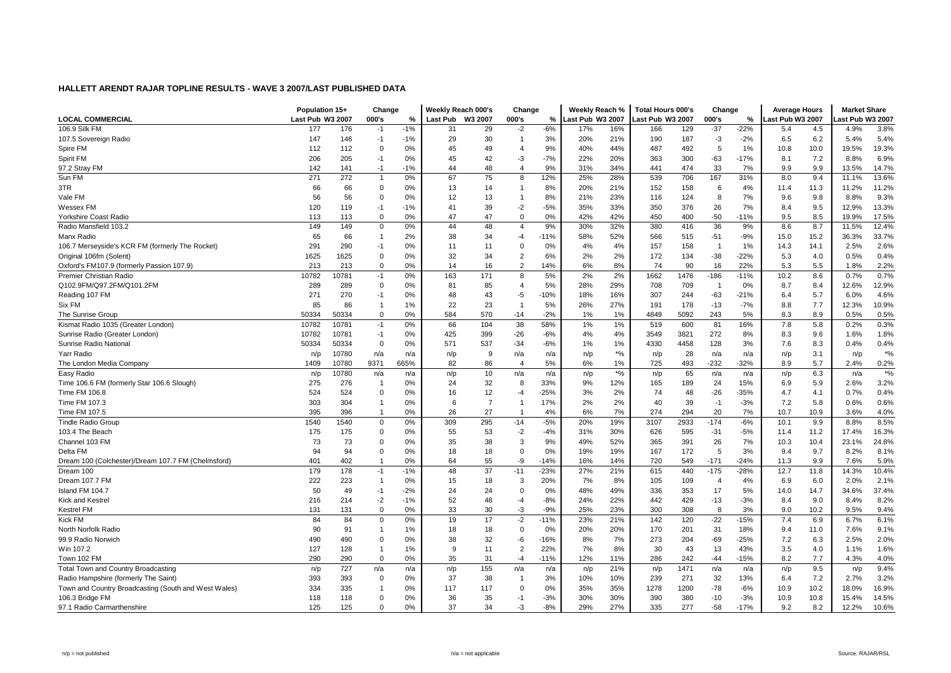|                                                      | Population 15+   |       | Change         |       | Weekly Reach 000's |                | Change         |        | Weekly Reach %   |        | <b>Total Hours 000's</b> |      | Change         |        | <b>Average Hours</b> |      | <b>Market Share</b> |        |
|------------------------------------------------------|------------------|-------|----------------|-------|--------------------|----------------|----------------|--------|------------------|--------|--------------------------|------|----------------|--------|----------------------|------|---------------------|--------|
| <b>LOCAL COMMERCIAL</b>                              | Last Pub W3 2007 |       | 000's          | %     | Last Pub W3 2007   |                | 000's          | %      | Last Pub W3 2007 |        | ast Pub W3 2007          |      | 000's          | %      | Last Pub W3 2007     |      | ast Pub W3 2007.    |        |
| 106.9 Silk FM                                        | 177              | 176   | $-1$           | $-1%$ | 31                 | 29             | $-2$           | $-6%$  | 17%              | 16%    | 166                      | 129  | $-37$          | $-22%$ | 5.4                  | 4.5  | 4.9%                | 3.8%   |
| 107.5 Sovereign Radio                                | 147              | 146   | -1             | $-1%$ | 29                 | 30             |                | 3%     | 20%              | 21%    | 190                      | 187  | $-3$           | $-2%$  | 6.5                  | 6.2  | 5.4%                | 5.4%   |
| Spire FM                                             | 112              | 112   | $\Omega$       | 0%    | 45                 | 49             | 4              | 9%     | 40%              | 44%    | 487                      | 492  | 5              | 1%     | 10.8                 | 10.0 | 19.5%               | 19.3%  |
| Spirit FM                                            | 206              | 205   | $-1$           | 0%    | 45                 | 42             | -3             | $-7%$  | 22%              | 20%    | 363                      | 300  | $-63$          | $-17%$ | 8.1                  | 7.2  | 8.8%                | 6.9%   |
| 97.2 Stray FM                                        | 142              | 141   | -1             | $-1%$ | 44                 | 48             | $\overline{4}$ | 9%     | 31%              | 34%    | 441                      | 474  | 33             | 7%     | 9.9                  | 9.9  | 13.5%               | 14.7%  |
| Sun FM                                               | 271              | 272   | $\overline{1}$ | 0%    | 67                 | 75             | 8              | 12%    | 25%              | 28%    | 539                      | 706  | 167            | 31%    | 8.0                  | 9.4  | 11.1%               | 13.6%  |
| 3TR                                                  | 66               | 66    | $\mathbf 0$    | 0%    | 13                 | 14             |                | 8%     | 20%              | 21%    | 152                      | 158  | 6              | 4%     | 11.4                 | 11.3 | 11.2%               | 11.2%  |
| Vale FM                                              | 56               | 56    | $\Omega$       | 0%    | 12                 | 13             |                | 8%     | 21%              | 23%    | 116                      | 124  | 8              | 7%     | 9.6                  | 9.8  | 8.8%                | 9.3%   |
| Wessex FM                                            | 120              | 119   | -1             | $-1%$ | 41                 | 39             | -2             | $-5%$  | 35%              | 33%    | 350                      | 376  | 26             | 7%     | 8.4                  | 9.5  | 12.9%               | 13.3%  |
| Yorkshire Coast Radio                                | 113              | 113   | $\mathbf 0$    | 0%    | 47                 | 47             | $\mathbf 0$    | 0%     | 42%              | 42%    | 450                      | 400  | $-50$          | $-11%$ | 9.5                  | 8.5  | 19.9%               | 17.5%  |
| Radio Mansfield 103.2                                | 149              | 149   | $\mathbf 0$    | 0%    | 44                 | 48             | 4              | 9%     | 30%              | 32%    | 380                      | 416  | 36             | 9%     | 8.6                  | 8.7  | 11.5%               | 12.4%  |
| Manx Radio                                           | 65               | 66    | 1              | 2%    | 38                 | 34             | -4             | $-11%$ | 58%              | 52%    | 566                      | 515  | $-51$          | $-9%$  | 15.0                 | 15.2 | 36.3%               | 33.7%  |
| 106.7 Merseyside's KCR FM (formerly The Rocket)      | 291              | 290   | -1             | 0%    | 11                 | 11             | $\Omega$       | 0%     | 4%               | 4%     | 157                      | 158  | -1             | 1%     | 14.3                 | 14.1 | 2.5%                | 2.6%   |
| Original 106fm (Solent)                              | 1625             | 1625  | $\Omega$       | 0%    | 32                 | 34             | $\overline{2}$ | 6%     | 2%               | 2%     | 172                      | 134  | $-38$          | $-22%$ | 5.3                  | 4.0  | 0.5%                | 0.4%   |
| Oxford's FM107.9 (formerly Passion 107.9)            | 213              | 213   | $\Omega$       | 0%    | 14                 | 16             | $\overline{2}$ | 14%    | 6%               | 8%     | 74                       | 90   | 16             | 22%    | 5.3                  | 5.5  | 1.8%                | 2.2%   |
| Premier Christian Radio                              | 10782            | 10781 | $-1$           | 0%    | 163                | 171            | 8              | 5%     | 2%               | 2%     | 1662                     | 1476 | $-186$         | $-11%$ | 10.2                 | 8.6  | 0.7%                | 0.7%   |
| Q102.9FM/Q97.2FM/Q101.2FM                            | 289              | 289   | $\mathbf 0$    | 0%    | 81                 | 85             | 4              | 5%     | 28%              | 29%    | 708                      | 709  | -1             | 0%     | 8.7                  | 8.4  | 12.6%               | 12.9%  |
| Reading 107 FM                                       | 271              | 270   | -1             | 0%    | 48                 | 43             | -5             | $-10%$ | 18%              | 16%    | 307                      | 244  | $-63$          | $-21%$ | 6.4                  | 5.7  | 6.0%                | 4.6%   |
| Six FM                                               | 85               | 86    | $\overline{1}$ | 1%    | 22                 | 23             |                | 5%     | 26%              | 27%    | 191                      | 178  | $-13$          | $-7%$  | 8.8                  | 7.7  | 12.3%               | 10.9%  |
| The Sunrise Group                                    | 50334            | 50334 | $\Omega$       | 0%    | 584                | 570            | $-14$          | $-2%$  | 1%               | 1%     | 4849                     | 5092 | 243            | 5%     | 8.3                  | 8.9  | 0.5%                | 0.5%   |
| Kismat Radio 1035 (Greater London)                   | 10782            | 10781 | $-1$           | 0%    | 66                 | 104            | 38             | 58%    | 1%               | 1%     | 519                      | 600  | 81             | 16%    | 7.8                  | 5.8  | 0.2%                | 0.3%   |
| Sunrise Radio (Greater London)                       | 10782            | 10781 | $-1$           | 0%    | 425                | 399            | $-26$          | $-6%$  | 4%               | 4%     | 3549                     | 3821 | 272            | 8%     | 8.3                  | 9.6  | 1.6%                | 1.8%   |
| Sunrise Radio National                               | 50334            | 50334 | $\mathbf 0$    | 0%    | 571                | 537            | $-34$          | $-6%$  | 1%               | 1%     | 4330                     | 4458 | 128            | 3%     | 7.6                  | 8.3  | 0.4%                | 0.4%   |
| Yarr Radio                                           | n/p              | 10780 | n/a            | n/a   | n/p                | 9              | n/a            | n/a    | n/p              | $*9/6$ | n/p                      | 28   | n/a            | n/a    | n/p                  | 3.1  | n/p                 | $*9/6$ |
| The London Media Company                             | 1409             | 10780 | 9371           | 665%  | 82                 | 86             | $\overline{4}$ | 5%     | 6%               | 1%     | 725                      | 493  | $-232$         | $-32%$ | 8.9                  | 5.7  | 2.4%                | 0.2%   |
| Easy Radio                                           | n/p              | 10780 | n/a            | n/a   | n/p                | 10             | n/a            | n/a    | n/p              | $*9/0$ | n/p                      | 65   | n/a            | n/a    | n/p                  | 6.3  | n/a                 | $*9/6$ |
| Time 106.6 FM (formerly Star 106.6 Slough)           | 275              | 276   | $\mathbf 1$    | 0%    | 24                 | 32             | 8              | 33%    | 9%               | 12%    | 165                      | 189  | 24             | 15%    | 6.9                  | 5.9  | 2.6%                | 3.2%   |
| Time FM 106.8                                        | 524              | 524   | $\Omega$       | 0%    | 16                 | 12             | -4             | $-25%$ | 3%               | 2%     | 74                       | 48   | $-26$          | -35%   | 4.7                  | 4.1  | 0.7%                | 0.4%   |
| Time FM 107.3                                        | 303              | 304   | 1              | 0%    | 6                  | $\overline{7}$ | -1             | 17%    | 2%               | 2%     | 40                       | 39   | $-1$           | $-3%$  | 7.2                  | 5.8  | 0.6%                | 0.6%   |
| Time FM 107.5                                        | 395              | 396   |                | 0%    | 26                 | 27             |                | 4%     | 6%               | 7%     | 274                      | 294  | 20             | 7%     | 10.7                 | 10.9 | 3.6%                | 4.0%   |
| <b>Tindle Radio Group</b>                            | 1540             | 1540  | $\overline{0}$ | 0%    | 309                | 295            | $-14$          | $-5%$  | 20%              | 19%    | 3107                     | 2933 | $-174$         | $-6%$  | 10.1                 | 9.9  | 8.8%                | 8.5%   |
| 103.4 The Beach                                      | 175              | 175   | 0              | 0%    | 55                 | 53             | $-2$           | $-4%$  | 31%              | 30%    | 626                      | 595  | $-31$          | $-5%$  | 11.4                 | 11.2 | 17.4%               | 16.3%  |
| Channel 103 FM                                       | 73               | 73    | $\overline{0}$ | 0%    | 35                 | 38             | 3              | 9%     | 49%              | 52%    | 365                      | 391  | 26             | 7%     | 10.3                 | 10.4 | 23.1%               | 24.8%  |
| Delta FM                                             | 94               | 94    | $\mathbf 0$    | 0%    | 18                 | 18             | $\mathbf 0$    | 0%     | 19%              | 19%    | 167                      | 172  | 5              | 3%     | 9.4                  | 9.7  | 8.2%                | 8.1%   |
| Dream 100 (Colchester)/Dream 107.7 FM (Chelmsford)   | 401              | 402   |                | 0%    | 64                 | 55             | -9             | $-14%$ | 16%              | 14%    | 720                      | 549  | $-171$         | $-24%$ | 11.3                 | 9.9  | 7.6%                | 5.9%   |
| Dream 100                                            | 179              | 178   | $-1$           | $-1%$ | 48                 | 37             | $-11$          | $-23%$ | 27%              | 21%    | 615                      | 440  | $-175$         | $-28%$ | 12.7                 | 11.8 | 14.3%               | 10.4%  |
| Dream 107.7 FM                                       | 222              | 223   | 1              | 0%    | 15                 | 18             | 3              | 20%    | 7%               | 8%     | 105                      | 109  | $\overline{4}$ | 4%     | 6.9                  | 6.0  | 2.0%                | 2.1%   |
| Island FM 104.7                                      | 50               | 49    | $-1$           | $-2%$ | 24                 | 24             | $\Omega$       | 0%     | 48%              | 49%    | 336                      | 353  | 17             | 5%     | 14.0                 | 14.7 | 34.6%               | 37.4%  |
| Kick and Kestrel                                     | 216              | 214   | $-2$           | $-1%$ | 52                 | 48             | $-4$           | $-8%$  | 24%              | 22%    | 442                      | 429  | $-13$          | $-3%$  | 8.4                  | 9.0  | 8.4%                | 8.2%   |
| <b>Kestrel FM</b>                                    | 131              | 131   | 0              | 0%    | 33                 | 30             | -3             | $-9%$  | 25%              | 23%    | 300                      | 308  | 8              | 3%     | 9.0                  | 10.2 | 9.5%                | 9.4%   |
| <b>Kick FM</b>                                       | 84               | 84    | 0              | 0%    | 19                 | 17             | $-2$           | $-11%$ | 23%              | 21%    | 142                      | 120  | $-22$          | $-15%$ | 7.4                  | 6.9  | 6.7%                | 6.1%   |
| North Norfolk Radio                                  | 90               | 91    | 1              | 1%    | 18                 | 18             | $\mathbf 0$    | 0%     | 20%              | 20%    | 170                      | 201  | 31             | 18%    | 9.4                  | 11.0 | 7.6%                | 9.1%   |
| 99.9 Radio Norwich                                   | 490              | 490   | 0              | 0%    | 38                 | 32             | -6             | $-16%$ | 8%               | 7%     | 273                      | 204  | $-69$          | $-25%$ | 7.2                  | 6.3  | 2.5%                | 2.0%   |
| Win 107.2                                            | 127              | 128   | 1              | 1%    | 9                  | 11             | $\overline{2}$ | 22%    | 7%               | 8%     | 30                       | 43   | 13             | 43%    | 3.5                  | 4.0  | 1.1%                | 1.6%   |
| Town 102 FM                                          | 290              | 290   | $\overline{0}$ | 0%    | 35                 | 31             | $-4$           | $-11%$ | 12%              | 11%    | 286                      | 242  | $-44$          | $-15%$ | 8.2                  | 7.7  | 4.3%                | 4.0%   |
| <b>Total Town and Country Broadcasting</b>           | n/p              | 727   | n/a            | n/a   | n/p                | 155            | n/a            | n/a    | n/p              | 21%    | n/p                      | 1471 | n/a            | n/a    | n/p                  | 9.5  | n/p                 | 9.4%   |
| Radio Hampshire (formerly The Saint)                 | 393              | 393   | $\Omega$       | 0%    | 37                 | 38             |                | 3%     | 10%              | 10%    | 239                      | 271  | 32             | 13%    | 6.4                  | 7.2  | 2.7%                | 3.2%   |
| Town and Country Broadcasting (South and West Wales) | 334              | 335   |                | 0%    | 117                | 117            | $\Omega$       | 0%     | 35%              | 35%    | 1278                     | 1200 | $-78$          | $-6%$  | 10.9                 | 10.2 | 18.0%               | 16.9%  |
| 106.3 Bridge FM                                      | 118              | 118   | O              | 0%    | 36                 | 35             | $-1$           | $-3%$  | 30%              | 30%    | 390                      | 380  | $-10$          | $-3%$  | 10.9                 | 10.8 | 15.4%               | 14.5%  |
| 97.1 Radio Carmarthenshire                           | 125              | 125   | $\Omega$       | 0%    | 37                 | 34             | -3             | $-8%$  | 29%              | 27%    | 335                      | 277  | $-58$          | $-17%$ | 9.2                  | 8.2  | 12.2%               | 10.6%  |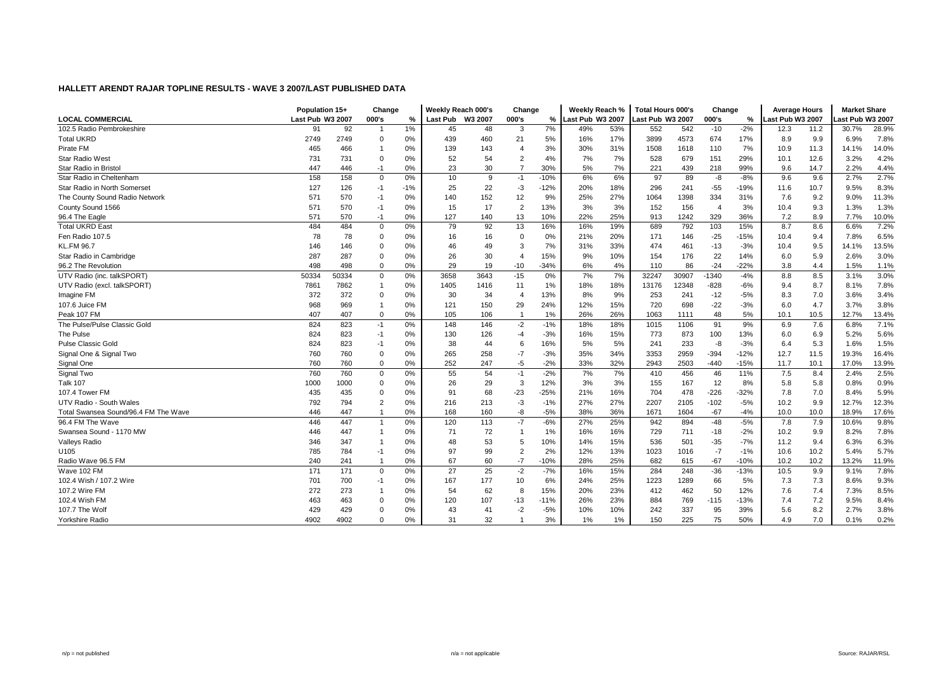|                                      | Population 15+   |       | Change         |               | Weekly Reach 000's |         | Change         |        | Weekly Reach %   |     | <b>Total Hours 000's</b> |       | Change         |        | <b>Average Hours</b> |      | <b>Market Share</b> |       |
|--------------------------------------|------------------|-------|----------------|---------------|--------------------|---------|----------------|--------|------------------|-----|--------------------------|-------|----------------|--------|----------------------|------|---------------------|-------|
| <b>LOCAL COMMERCIAL</b>              | Last Pub W3 2007 |       | 000's          | $\frac{9}{6}$ | Last Pub           | W3 2007 | 000's          | %      | Last Pub W3 2007 |     | ast Pub W3 2007          |       | 000's          | %      | ast Pub W3 2007      |      | ast Pub W3 2007     |       |
| 102.5 Radio Pembrokeshire            | 91               | 92    | $\mathbf{1}$   | 1%            | 45                 | 48      | 3              | 7%     | 49%              | 53% | 552                      | 542   | $-10$          | $-2%$  | 12.3                 | 11.2 | 30.7%               | 28.9% |
| <b>Total UKRD</b>                    | 2749             | 2749  | $\Omega$       | 0%            | 439                | 460     | 21             | 5%     | 16%              | 17% | 3899                     | 4573  | 674            | 17%    | 8.9                  | 9.9  | 6.9%                | 7.8%  |
| Pirate FM                            | 465              | 466   |                | 0%            | 139                | 143     | 4              | 3%     | 30%              | 31% | 1508                     | 1618  | 110            | 7%     | 10.9                 | 11.3 | 14.1%               | 14.0% |
| <b>Star Radio West</b>               | 731              | 731   | $\Omega$       | 0%            | 52                 | 54      | $\overline{2}$ | 4%     | 7%               | 7%  | 528                      | 679   | 151            | 29%    | 10.1                 | 12.6 | 3.2%                | 4.2%  |
| Star Radio in Bristol                | 447              | 446   | $-1$           | 0%            | 23                 | 30      | $\overline{7}$ | 30%    | 5%               | 7%  | 221                      | 439   | 218            | 99%    | 9.6                  | 14.7 | 2.2%                | 4.4%  |
| Star Radio in Cheltenham             | 158              | 158   | $\mathbf 0$    | 0%            | 10                 | 9       | $-1$           | $-10%$ | 6%               | 6%  | 97                       | 89    | -8             | $-8%$  | 9.6                  | 9.6  | 2.7%                | 2.7%  |
| Star Radio in North Somerset         | 127              | 126   | $-1$           | $-1%$         | 25                 | 22      | $-3$           | $-12%$ | 20%              | 18% | 296                      | 241   | $-55$          | -19%   | 11.6                 | 10.7 | 9.5%                | 8.3%  |
| The County Sound Radio Network       | 571              | 570   | $-1$           | 0%            | 140                | 152     | 12             | 9%     | 25%              | 27% | 1064                     | 1398  | 334            | 31%    | 7.6                  | 9.2  | 9.0%                | 11.3% |
| County Sound 1566                    | 571              | 570   | $-1$           | 0%            | 15                 | 17      | $\overline{2}$ | 13%    | 3%               | 3%  | 152                      | 156   | $\overline{4}$ | 3%     | 10.4                 | 9.3  | 1.3%                | 1.3%  |
| 96.4 The Eagle                       | 571              | 570   | $-1$           | 0%            | 127                | 140     | 13             | 10%    | 22%              | 25% | 913                      | 1242  | 329            | 36%    | 7.2                  | 8.9  | 7.7%                | 10.0% |
| <b>Total UKRD East</b>               | 484              | 484   | $\mathbf 0$    | 0%            | 79                 | 92      | 13             | 16%    | 16%              | 19% | 689                      | 792   | 103            | 15%    | 8.7                  | 8.6  | 6.6%                | 7.2%  |
| Fen Radio 107.5                      | 78               | 78    | $\Omega$       | 0%            | 16                 | 16      | $\Omega$       | 0%     | 21%              | 20% | 171                      | 146   | $-25$          | $-15%$ | 10.4                 | 9.4  | 7.8%                | 6.5%  |
| <b>KL.FM 96.7</b>                    | 146              | 146   | $\Omega$       | 0%            | 46                 | 49      | 3              | 7%     | 31%              | 33% | 474                      | 461   | $-13$          | $-3%$  | 10.4                 | 9.5  | 14.1%               | 13.5% |
| Star Radio in Cambridge              | 287              | 287   | $\Omega$       | 0%            | 26                 | 30      | $\overline{4}$ | 15%    | 9%               | 10% | 154                      | 176   | 22             | 14%    | 6.0                  | 5.9  | 2.6%                | 3.0%  |
| 96.2 The Revolution                  | 498              | 498   | $\Omega$       | 0%            | 29                 | 19      | $-10$          | $-34%$ | 6%               | 4%  | 110                      | 86    | $-24$          | $-22%$ | 3.8                  | 4.4  | 1.5%                | 1.1%  |
| UTV Radio (inc. talkSPORT)           | 50334            | 50334 | $\mathbf 0$    | 0%            | 3658               | 3643    | $-15$          | 0%     | 7%               | 7%  | 32247                    | 30907 | $-1340$        | $-4%$  | 8.8                  | 8.5  | 3.1%                | 3.0%  |
| UTV Radio (excl. talkSPORT)          | 7861             | 7862  |                | 0%            | 1405               | 1416    | 11             | 1%     | 18%              | 18% | 13176                    | 12348 | $-828$         | $-6%$  | 9.4                  | 8.7  | 8.1%                | 7.8%  |
| Imagine FM                           | 372              | 372   | 0              | 0%            | 30                 | 34      | $\overline{4}$ | 13%    | 8%               | 9%  | 253                      | 241   | $-12$          | $-5%$  | 8.3                  | 7.0  | 3.6%                | 3.4%  |
| 107.6 Juice FM                       | 968              | 969   |                | 0%            | 121                | 150     | 29             | 24%    | 12%              | 15% | 720                      | 698   | $-22$          | $-3%$  | 6.0                  | 4.7  | 3.7%                | 3.8%  |
| Peak 107 FM                          | 407              | 407   | $\Omega$       | 0%            | 105                | 106     | -1             | 1%     | 26%              | 26% | 1063                     | 1111  | 48             | 5%     | 10.1                 | 10.5 | 12.7%               | 13.4% |
| The Pulse/Pulse Classic Gold         | 824              | 823   | $-1$           | 0%            | 148                | 146     | $-2$           | $-1%$  | 18%              | 18% | 1015                     | 1106  | 91             | 9%     | 6.9                  | 7.6  | 6.8%                | 7.1%  |
| The Pulse                            | 824              | 823   | $-1$           | 0%            | 130                | 126     | $-4$           | $-3%$  | 16%              | 15% | 773                      | 873   | 100            | 13%    | 6.0                  | 6.9  | 5.2%                | 5.6%  |
| <b>Pulse Classic Gold</b>            | 824              | 823   | $-1$           | 0%            | 38                 | 44      | 6              | 16%    | 5%               | 5%  | 241                      | 233   | -8             | $-3%$  | 6.4                  | 5.3  | 1.6%                | 1.5%  |
| Signal One & Signal Two              | 760              | 760   | 0              | 0%            | 265                | 258     | $-7$           | $-3%$  | 35%              | 34% | 3353                     | 2959  | $-394$         | $-12%$ | 12.7                 | 11.5 | 19.3%               | 16.4% |
| Signal One                           | 760              | 760   | $\Omega$       | 0%            | 252                | 247     | $-5$           | $-2%$  | 33%              | 32% | 2943                     | 2503  | $-440$         | -15%   | 11.7                 | 10.1 | 17.0%               | 13.9% |
| Signal Two                           | 760              | 760   | $\Omega$       | 0%            | 55                 | 54      | $-1$           | $-2%$  | 7%               | 7%  | 410                      | 456   | 46             | 11%    | 7.5                  | 8.4  | 2.4%                | 2.5%  |
| <b>Talk 107</b>                      | 1000             | 1000  | $\Omega$       | 0%            | 26                 | 29      | 3              | 12%    | 3%               | 3%  | 155                      | 167   | 12             | 8%     | 5.8                  | 5.8  | 0.8%                | 0.9%  |
| 107.4 Tower FM                       | 435              | 435   | $\Omega$       | 0%            | 91                 | 68      | $-23$          | $-25%$ | 21%              | 16% | 704                      | 478   | $-226$         | $-32%$ | 7.8                  | 7.0  | 8.4%                | 5.9%  |
| UTV Radio - South Wales              | 792              | 794   | $\overline{2}$ | 0%            | 216                | 213     | $-3$           | $-1%$  | 27%              | 27% | 2207                     | 2105  | $-102$         | $-5%$  | 10.2                 | 9.9  | 12.7%               | 12.3% |
| Total Swansea Sound/96.4 FM The Wave | 446              | 447   |                | 0%            | 168                | 160     | -8             | $-5%$  | 38%              | 36% | 1671                     | 1604  | $-67$          | $-4%$  | 10.0                 | 10.0 | 18.9%               | 17.6% |
| 96.4 FM The Wave                     | 446              | 447   | $\mathbf{1}$   | 0%            | 120                | 113     | $-7$           | $-6%$  | 27%              | 25% | 942                      | 894   | $-48$          | $-5%$  | 7.8                  | 7.9  | 10.6%               | 9.8%  |
| Swansea Sound - 1170 MW              | 446              | 447   |                | 0%            | 71                 | 72      |                | 1%     | 16%              | 16% | 729                      | 711   | $-18$          | $-2%$  | 10.2                 | 9.9  | 8.2%                | 7.8%  |
| <b>Valleys Radio</b>                 | 346              | 347   |                | 0%            | 48                 | 53      | 5              | 10%    | 14%              | 15% | 536                      | 501   | $-35$          | $-7%$  | 11.2                 | 9.4  | 6.3%                | 6.3%  |
| U105                                 | 785              | 784   | $-1$           | 0%            | 97                 | 99      | $\overline{2}$ | 2%     | 12%              | 13% | 1023                     | 1016  | $-7$           | $-1%$  | 10.6                 | 10.2 | 5.4%                | 5.7%  |
| Radio Wave 96.5 FM                   | 240              | 241   | -1             | 0%            | 67                 | 60      | $-7$           | $-10%$ | 28%              | 25% | 682                      | 615   | $-67$          | $-10%$ | 10.2                 | 10.2 | 13.2%               | 11.9% |
| Wave 102 FM                          | 171              | 171   | $\mathbf 0$    | 0%            | 27                 | 25      | $-2$           | $-7%$  | 16%              | 15% | 284                      | 248   | $-36$          | $-13%$ | 10.5                 | 9.9  | 9.1%                | 7.8%  |
| 102.4 Wish / 107.2 Wire              | 701              | 700   | $-1$           | 0%            | 167                | 177     | 10             | 6%     | 24%              | 25% | 1223                     | 1289  | 66             | 5%     | 7.3                  | 7.3  | 8.6%                | 9.3%  |
| 107.2 Wire FM                        | 272              | 273   |                | 0%            | 54                 | 62      | 8              | 15%    | 20%              | 23% | 412                      | 462   | 50             | 12%    | 7.6                  | 7.4  | 7.3%                | 8.5%  |
| 102.4 Wish FM                        | 463              | 463   | C              | 0%            | 120                | 107     | $-13$          | $-11%$ | 26%              | 23% | 884                      | 769   | $-115$         | $-13%$ | 7.4                  | 7.2  | 9.5%                | 8.4%  |
| 107.7 The Wolf                       | 429              | 429   |                | 0%            | 43                 | 41      | $-2$           | $-5%$  | 10%              | 10% | 242                      | 337   | 95             | 39%    | 5.6                  | 8.2  | 2.7%                | 3.8%  |
| Yorkshire Radio                      | 4902             | 4902  | $\Omega$       | 0%            | 31                 | 32      |                | 3%     | 1%               | 1%  | 150                      | 225   | 75             | 50%    | 4.9                  | 7.0  | 0.1%                | 0.2%  |